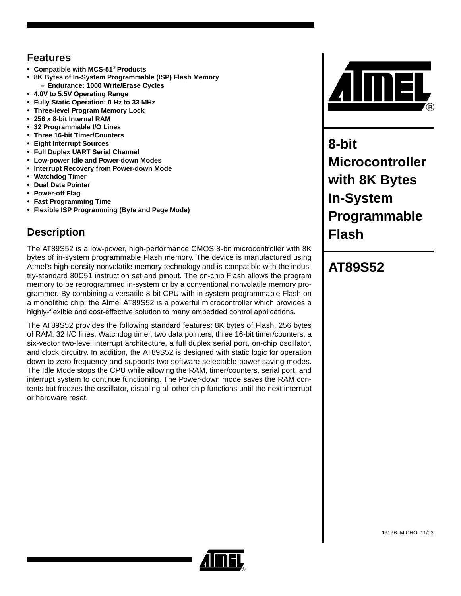## **Features**

- **Compatible with MCS-51**® **Products**
- **8K Bytes of In-System Programmable (ISP) Flash Memory – Endurance: 1000 Write/Erase Cycles**
- **4.0V to 5.5V Operating Range**
- **Fully Static Operation: 0 Hz to 33 MHz**
- **Three-level Program Memory Lock**
- **256 x 8-bit Internal RAM**
- **32 Programmable I/O Lines**
- **Three 16-bit Timer/Counters**
- **Eight Interrupt Sources**
- **Full Duplex UART Serial Channel**
- **Low-power Idle and Power-down Modes** • **Interrupt Recovery from Power-down Mode**
- **Watchdog Timer**
- **Dual Data Pointer**
- **Power-off Flag**
- **Fast Programming Time**
- **Flexible ISP Programming (Byte and Page Mode)**

## **Description**

The AT89S52 is a low-power, high-performance CMOS 8-bit microcontroller with 8K bytes of in-system programmable Flash memory. The device is manufactured using Atmel's high-density nonvolatile memory technology and is compatible with the industry-standard 80C51 instruction set and pinout. The on-chip Flash allows the program memory to be reprogrammed in-system or by a conventional nonvolatile memory programmer. By combining a versatile 8-bit CPU with in-system programmable Flash on a monolithic chip, the Atmel AT89S52 is a powerful microcontroller which provides a highly-flexible and cost-effective solution to many embedded control applications.

The AT89S52 provides the following standard features: 8K bytes of Flash, 256 bytes of RAM, 32 I/O lines, Watchdog timer, two data pointers, three 16-bit timer/counters, a six-vector two-level interrupt architecture, a full duplex serial port, on-chip oscillator, and clock circuitry. In addition, the AT89S52 is designed with static logic for operation down to zero frequency and supports two software selectable power saving modes. The Idle Mode stops the CPU while allowing the RAM, timer/counters, serial port, and interrupt system to continue functioning. The Power-down mode saves the RAM contents but freezes the oscillator, disabling all other chip functions until the next interrupt or hardware reset.



**8-bit Microcontroller with 8K Bytes In-System Programmable Flash**

## **AT89S52**

1919B–MICRO–11/03

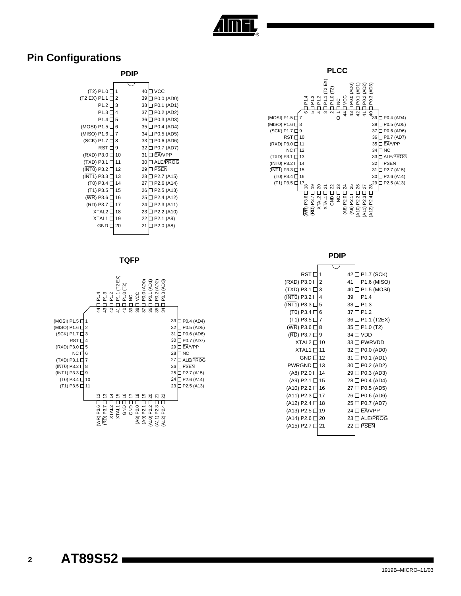

### **Pin Configurations**

#### **PDIP**

| (T2) P1.0                           | 1  | 40 | <b>VCC</b> |
|-------------------------------------|----|----|------------|
| (T2 EX) P1.1                        | 2  | 39 | P0.0 (AD0) |
| P <sub>1.2</sub> [                  | 3  | 38 | P0.1 (AD1) |
| P1.3                                | 4  | 37 | P0.2 (AD2) |
| P <sub>1.4</sub>                    | 5  | 36 | P0.3 (AD3) |
| (MOSI) P1.5                         | 6  | 35 | P0.4 (AD4) |
| (MISO) P1.6 [                       | 7  | 34 | P0.5 (AD5) |
| (SCK) P1.7 [                        | 8  | 33 | P0.6 (AD6) |
| $RST$ $\Box$                        | 9  | 32 | P0.7 (AD7) |
| (RXD) P3.0                          | 10 | 31 | EA/VPP     |
| (TXD) P3.1 [                        | 11 | 30 | ALE/PROG   |
| (INTO) P3.2 [                       | 12 | 29 | PSEN       |
| $(\overline{\mathsf{INT1}})$ P3.3 [ | 13 | 28 | P2.7 (A15) |
| (T0) P3.4 [                         | 14 | 27 | P2.6 (A14) |
| (T1) P3.5 [                         | 15 | 26 | P2.5 (A13) |
| (WR) P3.6 [                         | 16 | 25 | P2.4 (A12) |
| (RD) P3.7 [                         | 17 | 24 | P2.3 (A11) |
| XTAL <sub>2</sub>                   | 18 | 23 | P2.2 (A10) |
| <b>XTAL1</b>                        | 19 | 22 | P2.1 (A9)  |
| <b>GND</b> [                        | 20 | 21 | P2.0 (A8)  |
|                                     |    |    |            |

#### **TQFP**



#### **PLCC** (MOSI) P1.5 □ 7 (MISO) P1.6  $□$  8 (SCK) P1.7 □ 9 RST □ 10 (RXD) P3.0 □ 11 NC □ 12 (TXD) P3.1 囗 13 (INT0) P3.2 □ 14 15 16 17 29 (T1) P3.5 P2.5 (A13) 18 19 20 21 22 23 24 25 26 27 28  $\begin{array}{c} \n 3 \times 3 \times 3 \times 5 \ \hline \n \end{array}$   $\begin{array}{c} \n \text{39} \quad \text{P0.4 (AD4)} \n \end{array}$ 38 P0.5 (AD5) 37 P0.6 (AD6) 36 P0.7 (AD7) 35 34 33 ALE/PROG 32 PSEN 31 P2.7 (A15) 30 P2.6 (A14) (INT1) P3.3 (T0) P3.4 EA/VPP NC ۔<br>ته 542 $\overline{\mathcal{E}}$  $\overline{ }$ (WR) P3.6 (RD) P3.7 XTAL2 XTAL1 GND NC (A8) P2.0 (A9) P2.1 (A10) P2.2 (A11) P2.3 (A12) P2.4 P1.4<br>P1.3<br>P1.2<br>P1.2 (T2)<br>P1.2<br>P1.2<br>P1.2<br>DCC<br>VCC P1.1 (T2 EX) P0.0 (AD0) P0.1 (AD1) P0.2 (AD2) P0.3 (AD3)

**PDIP**

| RST                               |    | 42 | P1.7 (SCK)                         |
|-----------------------------------|----|----|------------------------------------|
|                                   | 2  | 41 |                                    |
| (RXD) P3.0                        |    |    | P1.6 (MISO)                        |
| (TXD) P3.1 [                      | 3  | 40 | P1.5 (MOSI)                        |
| (INTO) P3.2                       | 4  | 39 | P <sub>1.4</sub>                   |
| $(\overline{\mathsf{INT1}})$ P3.3 | 5  | 38 | P <sub>1.3</sub>                   |
| (T0) P3.4                         | 6  | 37 | P <sub>1.2</sub>                   |
| (T1) P3.5                         | 7  | 36 | P1.1 (T2EX)                        |
| (WR) P3.6                         | 8  | 35 | P <sub>1.0</sub> (T <sub>2</sub> ) |
| (RD) P3.7                         | 9  | 34 | VDD                                |
| <b>XTAL2</b>                      | 10 | 33 | <b>PWRVDD</b>                      |
| <b>XTAL1</b>                      | 11 | 32 | P0.0 (AD0)                         |
| <b>GND</b>                        | 12 | 31 | P0.1 (AD1)                         |
| <b>PWRGND</b>                     | 13 | 30 | P0.2 (AD2)                         |
| (A8) P2.0 [                       | 14 | 29 | P0.3 (AD3)                         |
| (A9) P2.1                         | 15 | 28 | P0.4 (AD4)                         |
| (A10) P2.2                        | 16 | 27 | P0.5 (AD5)                         |
| (A11) P2.3                        | 17 | 26 | P0.6 (AD6)                         |
| (A12) P2.4 l                      | 18 | 25 | P0.7 (AD7)                         |
| (A13) P2.5 [                      | 19 | 24 | <b>FANPP</b>                       |
| (A14) P2.6                        | 20 | 23 | ALE/PROG                           |
| (A15) P2.7 [                      | 21 | 22 | <b>PSEN</b>                        |
|                                   |    |    |                                    |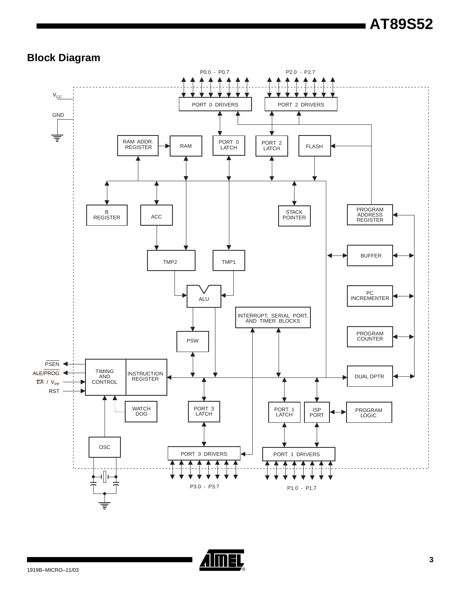# **AT89S52**

## **Block Diagram**



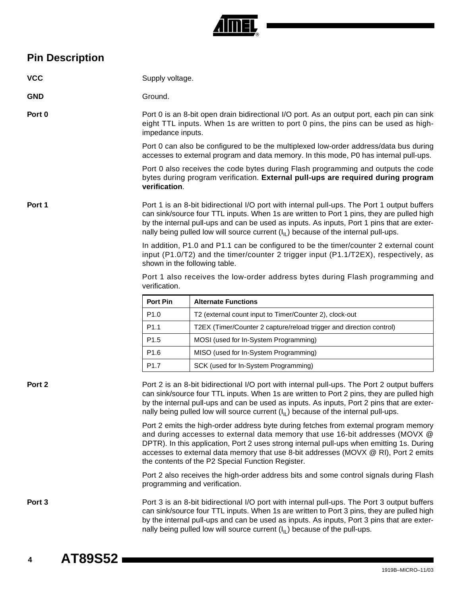

## **Pin Description**

| <b>VCC</b> | Supply voltage.                                                                            |                                                                                                                                                                                                                                                                                                                                                                                                                |
|------------|--------------------------------------------------------------------------------------------|----------------------------------------------------------------------------------------------------------------------------------------------------------------------------------------------------------------------------------------------------------------------------------------------------------------------------------------------------------------------------------------------------------------|
| <b>GND</b> | Ground.                                                                                    |                                                                                                                                                                                                                                                                                                                                                                                                                |
| Port 0     | impedance inputs.                                                                          | Port 0 is an 8-bit open drain bidirectional I/O port. As an output port, each pin can sink<br>eight TTL inputs. When 1s are written to port 0 pins, the pins can be used as high-                                                                                                                                                                                                                              |
|            |                                                                                            | Port 0 can also be configured to be the multiplexed low-order address/data bus during<br>accesses to external program and data memory. In this mode, P0 has internal pull-ups.                                                                                                                                                                                                                                 |
|            | verification.                                                                              | Port 0 also receives the code bytes during Flash programming and outputs the code<br>bytes during program verification. External pull-ups are required during program                                                                                                                                                                                                                                          |
| Port 1     |                                                                                            | Port 1 is an 8-bit bidirectional I/O port with internal pull-ups. The Port 1 output buffers<br>can sink/source four TTL inputs. When 1s are written to Port 1 pins, they are pulled high<br>by the internal pull-ups and can be used as inputs. As inputs, Port 1 pins that are exter-<br>nally being pulled low will source current $(I_{\parallel})$ because of the internal pull-ups.                       |
|            |                                                                                            | In addition, P1.0 and P1.1 can be configured to be the timer/counter 2 external count<br>input (P1.0/T2) and the timer/counter 2 trigger input (P1.1/T2EX), respectively, as<br>shown in the following table.                                                                                                                                                                                                  |
|            | verification.                                                                              | Port 1 also receives the low-order address bytes during Flash programming and                                                                                                                                                                                                                                                                                                                                  |
|            | <b>Port Pin</b>                                                                            | <b>Alternate Functions</b>                                                                                                                                                                                                                                                                                                                                                                                     |
|            | P <sub>1.0</sub>                                                                           | T2 (external count input to Timer/Counter 2), clock-out                                                                                                                                                                                                                                                                                                                                                        |
|            | P <sub>1.1</sub>                                                                           | T2EX (Timer/Counter 2 capture/reload trigger and direction control)                                                                                                                                                                                                                                                                                                                                            |
|            | P <sub>1.5</sub>                                                                           | MOSI (used for In-System Programming)                                                                                                                                                                                                                                                                                                                                                                          |
|            | P <sub>1.6</sub>                                                                           | MISO (used for In-System Programming)                                                                                                                                                                                                                                                                                                                                                                          |
|            | P <sub>1.7</sub>                                                                           | SCK (used for In-System Programming)                                                                                                                                                                                                                                                                                                                                                                           |
| Port 2     |                                                                                            | Port 2 is an 8-bit bidirectional I/O port with internal pull-ups. The Port 2 output buffers<br>can sink/source four TTL inputs. When 1s are written to Port 2 pins, they are pulled high<br>by the internal pull-ups and can be used as inputs. As inputs, Port 2 pins that are exter-<br>nally being pulled low will source current $(I_{\parallel})$ because of the internal pull-ups.                       |
|            |                                                                                            | Port 2 emits the high-order address byte during fetches from external program memory<br>and during accesses to external data memory that use 16-bit addresses (MOVX @<br>DPTR). In this application, Port 2 uses strong internal pull-ups when emitting 1s. During<br>accesses to external data memory that use 8-bit addresses (MOVX @ RI), Port 2 emits<br>the contents of the P2 Special Function Register. |
|            |                                                                                            | Port 2 also receives the high-order address bits and some control signals during Flash<br>programming and verification.                                                                                                                                                                                                                                                                                        |
| Port 3     | by the internal pull-ups and can be used as inputs. As inputs, Port 3 pins that are exter- | Port 3 is an 8-bit bidirectional I/O port with internal pull-ups. The Port 3 output buffers<br>can sink/source four TTL inputs. When 1s are written to Port 3 pins, they are pulled high                                                                                                                                                                                                                       |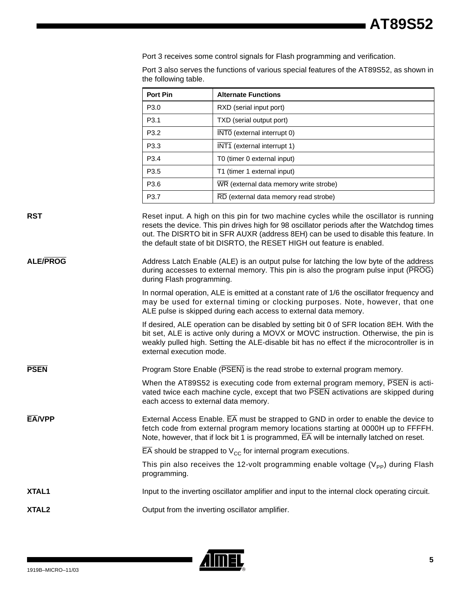Port 3 receives some control signals for Flash programming and verification.

Port 3 also serves the functions of various special features of the AT89S52, as shown in the following table.

| <b>Port Pin</b>  | <b>Alternate Functions</b>             |
|------------------|----------------------------------------|
| P <sub>3.0</sub> | RXD (serial input port)                |
| P <sub>3.1</sub> | TXD (serial output port)               |
| P <sub>3.2</sub> | INTO (external interrupt 0)            |
| P <sub>3.3</sub> | INT1 (external interrupt 1)            |
| P <sub>3.4</sub> | T0 (timer 0 external input)            |
| P <sub>3.5</sub> | T1 (timer 1 external input)            |
| P <sub>3.6</sub> | WR (external data memory write strobe) |
| P <sub>3.7</sub> | RD (external data memory read strobe)  |

**RST** Reset input. A high on this pin for two machine cycles while the oscillator is running resets the device. This pin drives high for 98 oscillator periods after the Watchdog times out. The DISRTO bit in SFR AUXR (address 8EH) can be used to disable this feature. In the default state of bit DISRTO, the RESET HIGH out feature is enabled.

ALE/PROG Address Latch Enable (ALE) is an output pulse for latching the low byte of the address during accesses to external memory. This pin is also the program pulse input (PROG) during Flash programming.

> In normal operation, ALE is emitted at a constant rate of 1/6 the oscillator frequency and may be used for external timing or clocking purposes. Note, however, that one ALE pulse is skipped during each access to external data memory.

> If desired, ALE operation can be disabled by setting bit 0 of SFR location 8EH. With the bit set, ALE is active only during a MOVX or MOVC instruction. Otherwise, the pin is weakly pulled high. Setting the ALE-disable bit has no effect if the microcontroller is in external execution mode.

**PSEN** Program Store Enable (PSEN) is the read strobe to external program memory.

When the AT89S52 is executing code from external program memory, PSEN is activated twice each machine cycle, except that two PSEN activations are skipped during each access to external data memory.

**EA/VPP** External Access Enable. EA must be strapped to GND in order to enable the device to fetch code from external program memory locations starting at 0000H up to FFFFH. Note, however, that if lock bit 1 is programmed, EA will be internally latched on reset.

 $\overline{EA}$  should be strapped to  $V_{CC}$  for internal program executions.

This pin also receives the 12-volt programming enable voltage ( $V_{\text{PP}}$ ) during Flash programming.

**XTAL1** Input to the inverting oscillator amplifier and input to the internal clock operating circuit.

**XTAL2 COMPANY** Output from the inverting oscillator amplifier.

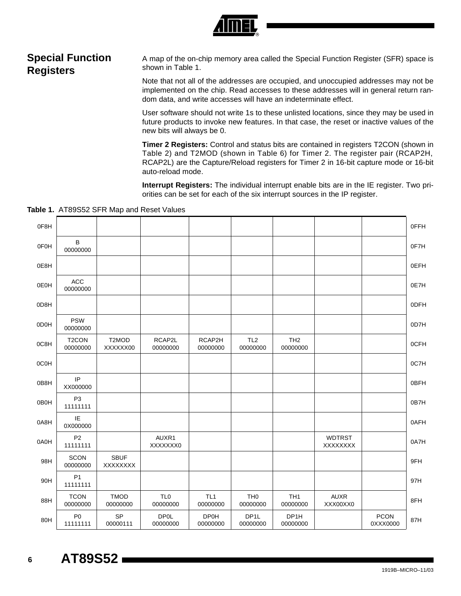

## **Special Function Registers**

A map of the on-chip memory area called the Special Function Register (SFR) space is shown in Table 1.

Note that not all of the addresses are occupied, and unoccupied addresses may not be implemented on the chip. Read accesses to these addresses will in general return random data, and write accesses will have an indeterminate effect.

User software should not write 1s to these unlisted locations, since they may be used in future products to invoke new features. In that case, the reset or inactive values of the new bits will always be 0.

**Timer 2 Registers:** Control and status bits are contained in registers T2CON (shown in Table 2) and T2MOD (shown in Table 6) for Timer 2. The register pair (RCAP2H, RCAP2L) are the Capture/Reload registers for Timer 2 in 16-bit capture mode or 16-bit auto-reload mode.

**Interrupt Registers:** The individual interrupt enable bits are in the IE register. Two priorities can be set for each of the six interrupt sources in the IP register.

|  |  | Table 1. AT89S52 SFR Map and Reset Values |  |  |  |  |
|--|--|-------------------------------------------|--|--|--|--|
|--|--|-------------------------------------------|--|--|--|--|

| 0F8H |                                |                         |                             |                             |                               |                             |                           |                         | 0FFH |
|------|--------------------------------|-------------------------|-----------------------------|-----------------------------|-------------------------------|-----------------------------|---------------------------|-------------------------|------|
| 0F0H | B<br>00000000                  |                         |                             |                             |                               |                             |                           |                         | 0F7H |
| 0E8H |                                |                         |                             |                             |                               |                             |                           |                         | 0EFH |
| 0E0H | ACC<br>00000000                |                         |                             |                             |                               |                             |                           |                         | 0E7H |
| 0D8H |                                |                         |                             |                             |                               |                             |                           |                         | 0DFH |
| 0D0H | <b>PSW</b><br>00000000         |                         |                             |                             |                               |                             |                           |                         | 0D7H |
| 0C8H | T <sub>2</sub> CON<br>00000000 | T2MOD<br>XXXXXX00       | RCAP2L<br>00000000          | RCAP2H<br>00000000          | TL <sub>2</sub><br>00000000   | TH <sub>2</sub><br>00000000 |                           |                         | 0CFH |
| 0C0H |                                |                         |                             |                             |                               |                             |                           |                         | 0C7H |
| 0B8H | IP<br>XX000000                 |                         |                             |                             |                               |                             |                           |                         | 0BFH |
| 0B0H | P <sub>3</sub><br>11111111     |                         |                             |                             |                               |                             |                           |                         | 0B7H |
| 0A8H | IE<br>0X000000                 |                         |                             |                             |                               |                             |                           |                         | 0AFH |
| 0A0H | P <sub>2</sub><br>11111111     |                         | AUXR1<br>XXXXXXX0           |                             |                               |                             | <b>WDTRST</b><br>XXXXXXXX |                         | 0A7H |
| 98H  | <b>SCON</b><br>00000000        | <b>SBUF</b><br>XXXXXXX  |                             |                             |                               |                             |                           |                         | 9FH  |
| 90H  | P <sub>1</sub><br>11111111     |                         |                             |                             |                               |                             |                           |                         | 97H  |
| 88H  | <b>TCON</b><br>00000000        | <b>TMOD</b><br>00000000 | TL <sub>0</sub><br>00000000 | TL <sub>1</sub><br>00000000 | TH <sub>0</sub><br>00000000   | TH <sub>1</sub><br>00000000 | <b>AUXR</b><br>XXX00XX0   |                         | 8FH  |
| 80H  | P <sub>0</sub><br>11111111     | SP<br>00000111          | <b>DP0L</b><br>00000000     | <b>DP0H</b><br>00000000     | DP <sub>1</sub> L<br>00000000 | DP1H<br>00000000            |                           | <b>PCON</b><br>0XXX0000 | 87H  |

## **<sup>6</sup> AT89S52**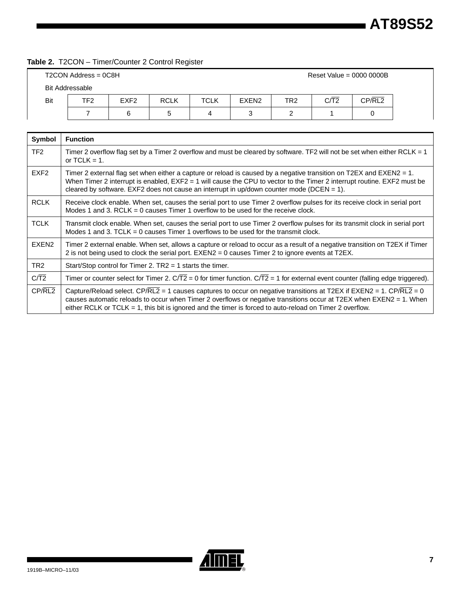#### **Table 2.** T2CON – Timer/Counter 2 Control Register

|     | $T2CON Address = 0C8H$ |                  |             |             |                   |                 | Reset Value = $0000 0000B$ |        |
|-----|------------------------|------------------|-------------|-------------|-------------------|-----------------|----------------------------|--------|
|     | <b>Bit Addressable</b> |                  |             |             |                   |                 |                            |        |
| Bit | TF <sub>2</sub>        | EXF <sub>2</sub> | <b>RCLK</b> | <b>TCLK</b> | EXEN <sub>2</sub> | TR <sub>2</sub> | C/T2                       | CP/RL2 |
|     |                        | 6                | b           | 4           |                   |                 |                            |        |

| Symbol            | <b>Function</b>                                                                                                                                                                                                                                                                                                                                        |
|-------------------|--------------------------------------------------------------------------------------------------------------------------------------------------------------------------------------------------------------------------------------------------------------------------------------------------------------------------------------------------------|
| TF <sub>2</sub>   | Timer 2 overflow flag set by a Timer 2 overflow and must be cleared by software. TF2 will not be set when either RCLK = 1<br>or $TCLK = 1$ .                                                                                                                                                                                                           |
| EXF <sub>2</sub>  | Timer 2 external flag set when either a capture or reload is caused by a negative transition on T2EX and EXEN2 = 1.<br>When Timer 2 interrupt is enabled, $EXF2 = 1$ will cause the CPU to vector to the Timer 2 interrupt routine. EXF2 must be<br>cleared by software. EXF2 does not cause an interrupt in up/down counter mode (DCEN = $1$ ).       |
| <b>RCLK</b>       | Receive clock enable. When set, causes the serial port to use Timer 2 overflow pulses for its receive clock in serial port<br>Modes 1 and 3. RCLK = 0 causes Timer 1 overflow to be used for the receive clock.                                                                                                                                        |
| <b>TCLK</b>       | Transmit clock enable. When set, causes the serial port to use Timer 2 overflow pulses for its transmit clock in serial port<br>Modes 1 and 3. TCLK = 0 causes Timer 1 overflows to be used for the transmit clock.                                                                                                                                    |
| EXEN <sub>2</sub> | Timer 2 external enable. When set, allows a capture or reload to occur as a result of a negative transition on T2EX if Timer<br>2 is not being used to clock the serial port. EXEN2 = 0 causes Timer 2 to ignore events at T2EX.                                                                                                                       |
| TR <sub>2</sub>   | Start/Stop control for Timer 2. $TR2 = 1$ starts the timer.                                                                                                                                                                                                                                                                                            |
| $C/\overline{T2}$ | Timer or counter select for Timer 2. $C/T2 = 0$ for timer function. $C/T2 = 1$ for external event counter (falling edge triggered).                                                                                                                                                                                                                    |
| CP/RL2            | Capture/Reload select. CP/RL2 = 1 causes captures to occur on negative transitions at T2EX if EXEN2 = 1. CP/RL2 = 0<br>causes automatic reloads to occur when Timer 2 overflows or negative transitions occur at T2EX when EXEN2 = 1. When<br>either RCLK or TCLK = 1, this bit is ignored and the timer is forced to auto-reload on Timer 2 overflow. |

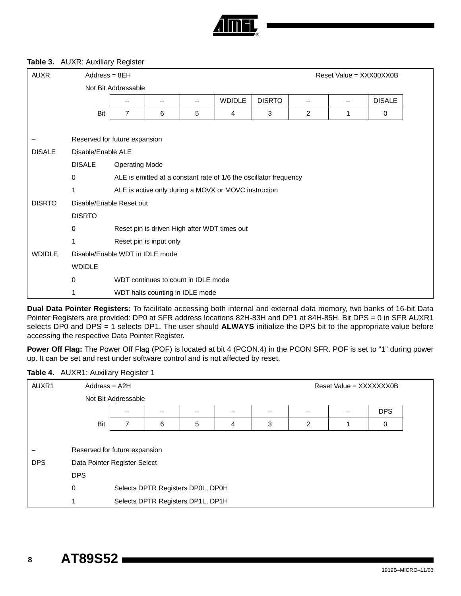

#### **Table 3.** AUXR: Auxiliary Register

| <b>AUXR</b>   | $Address = 8EH$                 |                       |                                     |   |                                                                   |               |                | Reset Value = $XXX00XX0B$ |               |
|---------------|---------------------------------|-----------------------|-------------------------------------|---|-------------------------------------------------------------------|---------------|----------------|---------------------------|---------------|
|               |                                 | Not Bit Addressable   |                                     |   |                                                                   |               |                |                           |               |
|               |                                 |                       |                                     |   | <b>WDIDLE</b>                                                     | <b>DISRTO</b> |                |                           | <b>DISALE</b> |
|               | Bit                             | $\overline{7}$        | 6                                   | 5 | 4                                                                 | 3             | $\overline{2}$ | 1                         | 0             |
|               |                                 |                       |                                     |   |                                                                   |               |                |                           |               |
|               | Reserved for future expansion   |                       |                                     |   |                                                                   |               |                |                           |               |
| <b>DISALE</b> | Disable/Enable ALE              |                       |                                     |   |                                                                   |               |                |                           |               |
|               | <b>DISALE</b>                   | <b>Operating Mode</b> |                                     |   |                                                                   |               |                |                           |               |
|               | $\mathbf 0$                     |                       |                                     |   | ALE is emitted at a constant rate of 1/6 the oscillator frequency |               |                |                           |               |
|               |                                 |                       |                                     |   | ALE is active only during a MOVX or MOVC instruction              |               |                |                           |               |
| <b>DISRTO</b> | Disable/Enable Reset out        |                       |                                     |   |                                                                   |               |                |                           |               |
|               | <b>DISRTO</b>                   |                       |                                     |   |                                                                   |               |                |                           |               |
|               | 0                               |                       |                                     |   | Reset pin is driven High after WDT times out                      |               |                |                           |               |
|               |                                 |                       | Reset pin is input only             |   |                                                                   |               |                |                           |               |
| <b>WDIDLE</b> | Disable/Enable WDT in IDLE mode |                       |                                     |   |                                                                   |               |                |                           |               |
|               | <b>WDIDLE</b>                   |                       |                                     |   |                                                                   |               |                |                           |               |
|               | $\mathbf 0$                     |                       | WDT continues to count in IDLE mode |   |                                                                   |               |                |                           |               |
|               |                                 |                       | WDT halts counting in IDLE mode     |   |                                                                   |               |                |                           |               |

**Dual Data Pointer Registers:** To facilitate accessing both internal and external data memory, two banks of 16-bit Data Pointer Registers are provided: DP0 at SFR address locations 82H-83H and DP1 at 84H-85H. Bit DPS = 0 in SFR AUXR1 selects DP0 and DPS = 1 selects DP1. The user should **ALWAYS** initialize the DPS bit to the appropriate value before accessing the respective Data Pointer Register.

**Power Off Flag:** The Power Off Flag (POF) is located at bit 4 (PCON.4) in the PCON SFR. POF is set to "1" during power up. It can be set and rest under software control and is not affected by reset.

#### **Table 4.** AUXR1: Auxiliary Register 1

| AUXR1      | $Address = A2H$               |                     |   |                                   |   |   |   | Reset Value = XXXXXXX0B |            |  |
|------------|-------------------------------|---------------------|---|-----------------------------------|---|---|---|-------------------------|------------|--|
|            |                               | Not Bit Addressable |   |                                   |   |   |   |                         |            |  |
|            |                               |                     |   |                                   |   |   |   |                         | <b>DPS</b> |  |
|            | Bit                           | 7                   | 6 | 5                                 | 4 | 3 | 2 |                         | 0          |  |
|            |                               |                     |   |                                   |   |   |   |                         |            |  |
|            | Reserved for future expansion |                     |   |                                   |   |   |   |                         |            |  |
| <b>DPS</b> | Data Pointer Register Select  |                     |   |                                   |   |   |   |                         |            |  |
|            | <b>DPS</b>                    |                     |   |                                   |   |   |   |                         |            |  |
|            | 0                             |                     |   | Selects DPTR Registers DP0L, DP0H |   |   |   |                         |            |  |
|            |                               |                     |   | Selects DPTR Registers DP1L, DP1H |   |   |   |                         |            |  |
|            |                               |                     |   |                                   |   |   |   |                         |            |  |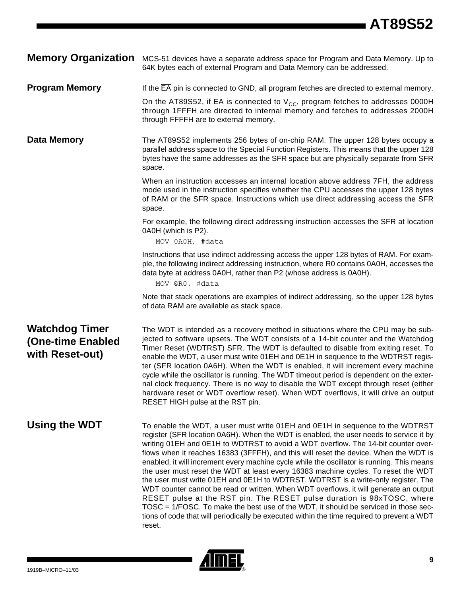**Memory Organization** MCS-51 devices have a separate address space for Program and Data Memory. Up to 64K bytes each of external Program and Data Memory can be addressed.

**Program Memory** If the  $\overline{EA}$  pin is connected to GND, all program fetches are directed to external memory.

On the AT89S52, if EA is connected to  $V_{\text{CC}}$ , program fetches to addresses 0000H through 1FFFH are directed to internal memory and fetches to addresses 2000H through FFFFH are to external memory.

**Data Memory** The AT89S52 implements 256 bytes of on-chip RAM. The upper 128 bytes occupy a parallel address space to the Special Function Registers. This means that the upper 128 bytes have the same addresses as the SFR space but are physically separate from SFR space.

> When an instruction accesses an internal location above address 7FH, the address mode used in the instruction specifies whether the CPU accesses the upper 128 bytes of RAM or the SFR space. Instructions which use direct addressing access the SFR space.

For example, the following direct addressing instruction accesses the SFR at location 0A0H (which is P2).

MOV 0A0H, #data

Instructions that use indirect addressing access the upper 128 bytes of RAM. For example, the following indirect addressing instruction, where R0 contains 0A0H, accesses the data byte at address 0A0H, rather than P2 (whose address is 0A0H).

MOV @R0, #data

Note that stack operations are examples of indirect addressing, so the upper 128 bytes of data RAM are available as stack space.

## **Watchdog Timer (One-time Enabled with Reset-out)**

The WDT is intended as a recovery method in situations where the CPU may be subjected to software upsets. The WDT consists of a 14-bit counter and the Watchdog Timer Reset (WDTRST) SFR. The WDT is defaulted to disable from exiting reset. To enable the WDT, a user must write 01EH and 0E1H in sequence to the WDTRST register (SFR location 0A6H). When the WDT is enabled, it will increment every machine cycle while the oscillator is running. The WDT timeout period is dependent on the external clock frequency. There is no way to disable the WDT except through reset (either hardware reset or WDT overflow reset). When WDT overflows, it will drive an output RESET HIGH pulse at the RST pin.

**Using the WDT** To enable the WDT, a user must write 01EH and 0E1H in sequence to the WDTRST register (SFR location 0A6H). When the WDT is enabled, the user needs to service it by writing 01EH and 0E1H to WDTRST to avoid a WDT overflow. The 14-bit counter overflows when it reaches 16383 (3FFFH), and this will reset the device. When the WDT is enabled, it will increment every machine cycle while the oscillator is running. This means the user must reset the WDT at least every 16383 machine cycles. To reset the WDT the user must write 01EH and 0E1H to WDTRST. WDTRST is a write-only register. The WDT counter cannot be read or written. When WDT overflows, it will generate an output RESET pulse at the RST pin. The RESET pulse duration is 98xTOSC, where TOSC = 1/FOSC. To make the best use of the WDT, it should be serviced in those sections of code that will periodically be executed within the time required to prevent a WDT reset.

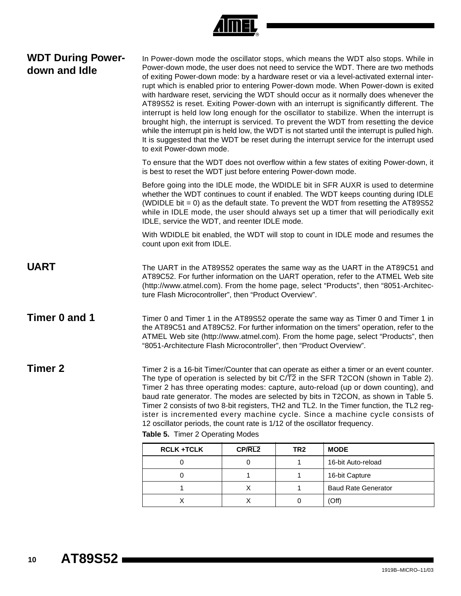

### **WDT During Powerdown and Idle**

In Power-down mode the oscillator stops, which means the WDT also stops. While in Power-down mode, the user does not need to service the WDT. There are two methods of exiting Power-down mode: by a hardware reset or via a level-activated external interrupt which is enabled prior to entering Power-down mode. When Power-down is exited with hardware reset, servicing the WDT should occur as it normally does whenever the AT89S52 is reset. Exiting Power-down with an interrupt is significantly different. The interrupt is held low long enough for the oscillator to stabilize. When the interrupt is brought high, the interrupt is serviced. To prevent the WDT from resetting the device while the interrupt pin is held low, the WDT is not started until the interrupt is pulled high. It is suggested that the WDT be reset during the interrupt service for the interrupt used to exit Power-down mode.

To ensure that the WDT does not overflow within a few states of exiting Power-down, it is best to reset the WDT just before entering Power-down mode.

Before going into the IDLE mode, the WDIDLE bit in SFR AUXR is used to determine whether the WDT continues to count if enabled. The WDT keeps counting during IDLE (WDIDLE bit  $= 0$ ) as the default state. To prevent the WDT from resetting the AT89S52 while in IDLE mode, the user should always set up a timer that will periodically exit IDLE, service the WDT, and reenter IDLE mode.

With WDIDLE bit enabled, the WDT will stop to count in IDLE mode and resumes the count upon exit from IDLE.

- **UART** The UART in the AT89S52 operates the same way as the UART in the AT89C51 and AT89C52. For further information on the UART operation, refer to the ATMEL Web site (http://www.atmel.com). From the home page, select "Products", then "8051-Architecture Flash Microcontroller", then "Product Overview".
- **Timer 0 and 1** Timer 0 and Timer 1 in the AT89S52 operate the same way as Timer 0 and Timer 1 in the AT89C51 and AT89C52. For further information on the timers" operation, refer to the ATMEL Web site (http://www.atmel.com). From the home page, select "Products", then "8051-Architecture Flash Microcontroller", then "Product Overview".

**Timer 2** Timer 2 is a 16-bit Timer/Counter that can operate as either a timer or an event counter. The type of operation is selected by bit  $C/T2$  in the SFR T2CON (shown in Table 2). Timer 2 has three operating modes: capture, auto-reload (up or down counting), and baud rate generator. The modes are selected by bits in T2CON, as shown in Table 5. Timer 2 consists of two 8-bit registers, TH2 and TL2. In the Timer function, the TL2 register is incremented every machine cycle. Since a machine cycle consists of 12 oscillator periods, the count rate is 1/12 of the oscillator frequency.

| <b>RCLK +TCLK</b> | CP/RL2 | TR2 | <b>MODE</b>                |
|-------------------|--------|-----|----------------------------|
|                   |        |     | 16-bit Auto-reload         |
|                   |        |     | 16-bit Capture             |
|                   |        |     | <b>Baud Rate Generator</b> |
|                   |        |     | (Off'                      |

**Table 5.** Timer 2 Operating Modes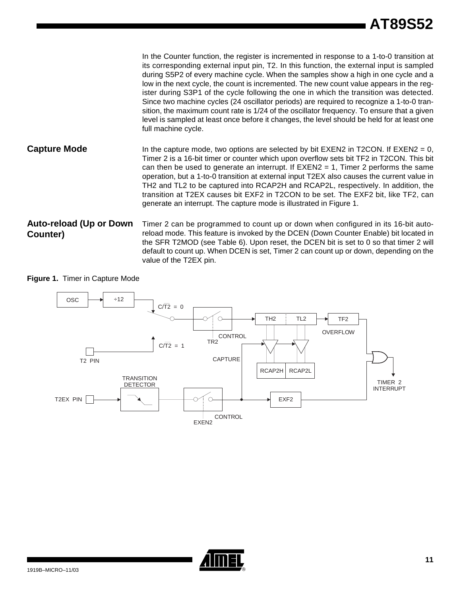In the Counter function, the register is incremented in response to a 1-to-0 transition at its corresponding external input pin, T2. In this function, the external input is sampled during S5P2 of every machine cycle. When the samples show a high in one cycle and a low in the next cycle, the count is incremented. The new count value appears in the register during S3P1 of the cycle following the one in which the transition was detected. Since two machine cycles (24 oscillator periods) are required to recognize a 1-to-0 transition, the maximum count rate is 1/24 of the oscillator frequency. To ensure that a given level is sampled at least once before it changes, the level should be held for at least one full machine cycle. **Capture Mode** In the capture mode, two options are selected by bit EXEN2 in T2CON. If EXEN2 = 0, Timer 2 is a 16-bit timer or counter which upon overflow sets bit TF2 in T2CON. This bit can then be used to generate an interrupt. If  $EXEN2 = 1$ , Timer 2 performs the same operation, but a 1-to-0 transition at external input T2EX also causes the current value in TH2 and TL2 to be captured into RCAP2H and RCAP2L, respectively. In addition, the transition at T2EX causes bit EXF2 in T2CON to be set. The EXF2 bit, like TF2, can generate an interrupt. The capture mode is illustrated in Figure 1. **Auto-reload (Up or Down Counter)** Timer 2 can be programmed to count up or down when configured in its 16-bit autoreload mode. This feature is invoked by the DCEN (Down Counter Enable) bit located in

the SFR T2MOD (see Table 6). Upon reset, the DCEN bit is set to 0 so that timer 2 will default to count up. When DCEN is set, Timer 2 can count up or down, depending on the value of the T2EX pin.

**Figure 1.** Timer in Capture Mode



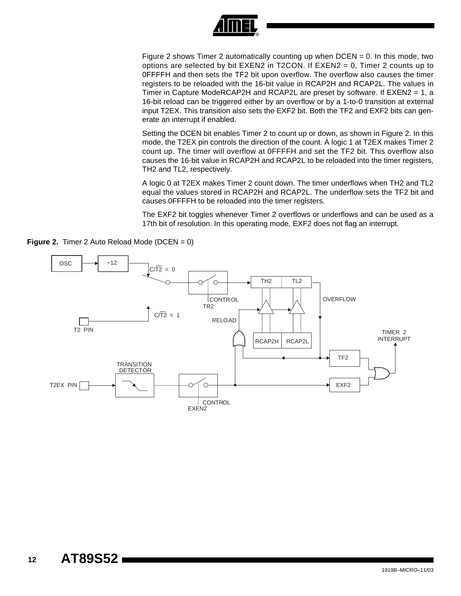

Figure 2 shows Timer 2 automatically counting up when  $DCEN = 0$ . In this mode, two options are selected by bit EXEN2 in T2CON. If EXEN2 = 0, Timer 2 counts up to 0FFFFH and then sets the TF2 bit upon overflow. The overflow also causes the timer registers to be reloaded with the 16-bit value in RCAP2H and RCAP2L. The values in Timer in Capture ModeRCAP2H and RCAP2L are preset by software. If EXEN2 = 1, a 16-bit reload can be triggered either by an overflow or by a 1-to-0 transition at external input T2EX. This transition also sets the EXF2 bit. Both the TF2 and EXF2 bits can generate an interrupt if enabled.

Setting the DCEN bit enables Timer 2 to count up or down, as shown in Figure 2. In this mode, the T2EX pin controls the direction of the count. A logic 1 at T2EX makes Timer 2 count up. The timer will overflow at 0FFFFH and set the TF2 bit. This overflow also causes the 16-bit value in RCAP2H and RCAP2L to be reloaded into the timer registers, TH2 and TL2, respectively.

A logic 0 at T2EX makes Timer 2 count down. The timer underflows when TH2 and TL2 equal the values stored in RCAP2H and RCAP2L. The underflow sets the TF2 bit and causes 0FFFFH to be reloaded into the timer registers.

The EXF2 bit toggles whenever Timer 2 overflows or underflows and can be used as a 17th bit of resolution. In this operating mode, EXF2 does not flag an interrupt.

**Figure 2.** Timer 2 Auto Reload Mode (DCEN = 0)

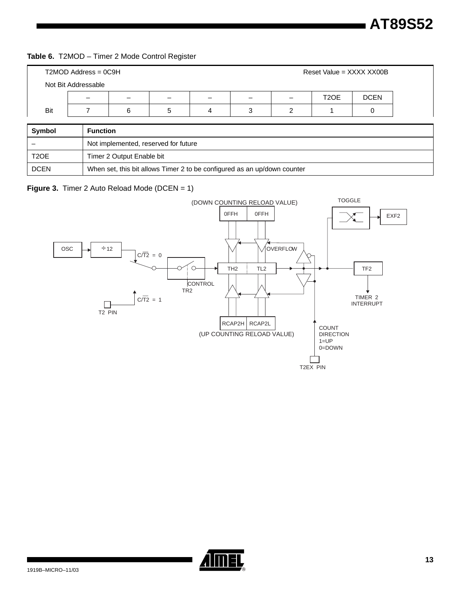#### **Table 6.** T2MOD – Timer 2 Mode Control Register

|        | $T2MOD$ Address = $0C9H$ |   | Reset Value = XXXX XX00B |   |   |                   |             |
|--------|--------------------------|---|--------------------------|---|---|-------------------|-------------|
|        | Not Bit Addressable      |   |                          |   |   |                   |             |
|        |                          | - | -                        | - | - | T <sub>2</sub> OE | <b>DCEN</b> |
| Bit    |                          | 6 | 5                        | 3 |   |                   |             |
|        |                          |   |                          |   |   |                   |             |
| Symbol | <b>Function</b>          |   |                          |   |   |                   |             |

| Svmbol            | <b>Function</b>                                                          |
|-------------------|--------------------------------------------------------------------------|
|                   | Not implemented, reserved for future                                     |
| T <sub>2</sub> OE | Timer 2 Output Enable bit                                                |
| <b>DCEN</b>       | When set, this bit allows Timer 2 to be configured as an up/down counter |

#### **Figure 3.** Timer 2 Auto Reload Mode (DCEN = 1)



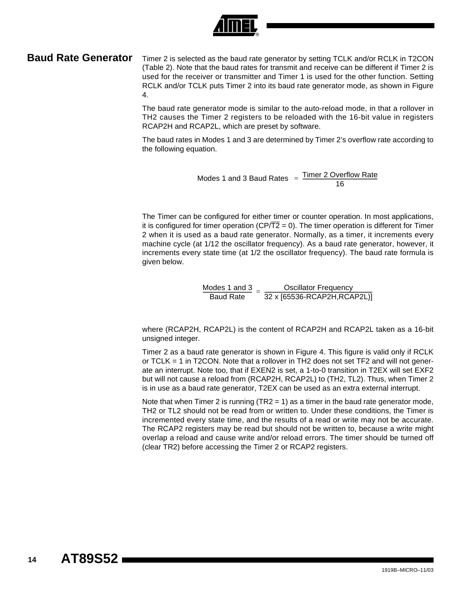

**Baud Rate Generator** Timer 2 is selected as the baud rate generator by setting TCLK and/or RCLK in T2CON (Table 2). Note that the baud rates for transmit and receive can be different if Timer 2 is used for the receiver or transmitter and Timer 1 is used for the other function. Setting RCLK and/or TCLK puts Timer 2 into its baud rate generator mode, as shown in Figure 4.

> The baud rate generator mode is similar to the auto-reload mode, in that a rollover in TH2 causes the Timer 2 registers to be reloaded with the 16-bit value in registers RCAP2H and RCAP2L, which are preset by software.

> The baud rates in Modes 1 and 3 are determined by Timer 2's overflow rate according to the following equation.

> > Modes 1 and 3 Baud Rates Timer 2 Overflow Rate <sup>16</sup> <sup>=</sup> -----------------------------------------------------------

The Timer can be configured for either timer or counter operation. In most applications, it is configured for timer operation ( $CP/T2 = 0$ ). The timer operation is different for Timer 2 when it is used as a baud rate generator. Normally, as a timer, it increments every machine cycle (at 1/12 the oscillator frequency). As a baud rate generator, however, it increments every state time (at 1/2 the oscillator frequency). The baud rate formula is given below.

 $\frac{$  Modes 1 and 3  $=$   $\frac{ }{32 \times [65536\text{-R}CAP2H, RCAP2L)]}$ 

where (RCAP2H, RCAP2L) is the content of RCAP2H and RCAP2L taken as a 16-bit unsigned integer.

Timer 2 as a baud rate generator is shown in Figure 4. This figure is valid only if RCLK or TCLK = 1 in T2CON. Note that a rollover in TH2 does not set TF2 and will not generate an interrupt. Note too, that if EXEN2 is set, a 1-to-0 transition in T2EX will set EXF2 but will not cause a reload from (RCAP2H, RCAP2L) to (TH2, TL2). Thus, when Timer 2 is in use as a baud rate generator, T2EX can be used as an extra external interrupt.

Note that when Timer 2 is running  $(TR2 = 1)$  as a timer in the baud rate generator mode, TH2 or TL2 should not be read from or written to. Under these conditions, the Timer is incremented every state time, and the results of a read or write may not be accurate. The RCAP2 registers may be read but should not be written to, because a write might overlap a reload and cause write and/or reload errors. The timer should be turned off (clear TR2) before accessing the Timer 2 or RCAP2 registers.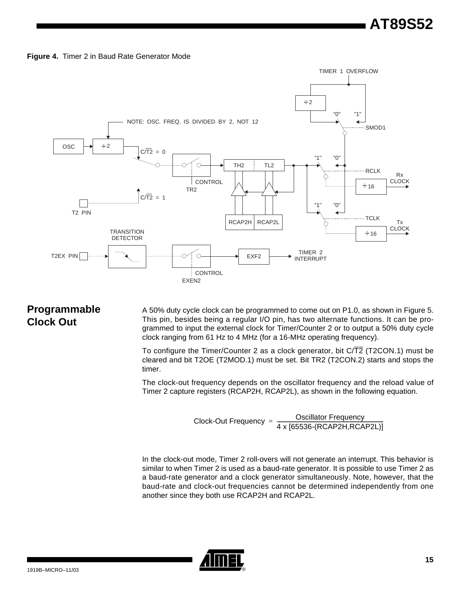



## **Programmable Clock Out**

A 50% duty cycle clock can be programmed to come out on P1.0, as shown in Figure 5. This pin, besides being a regular I/O pin, has two alternate functions. It can be programmed to input the external clock for Timer/Counter 2 or to output a 50% duty cycle clock ranging from 61 Hz to 4 MHz (for a 16-MHz operating frequency).

To configure the Timer/Counter 2 as a clock generator, bit C/T2 (T2CON.1) must be cleared and bit T2OE (T2MOD.1) must be set. Bit TR2 (T2CON.2) starts and stops the timer.

The clock-out frequency depends on the oscillator frequency and the reload value of Timer 2 capture registers (RCAP2H, RCAP2L), as shown in the following equation.

$$
Clock-Out Frequency = \frac{Oscillator Frequency}{4 \times [65536-(RCAP2H,RCAP2L)]}
$$

In the clock-out mode, Timer 2 roll-overs will not generate an interrupt. This behavior is similar to when Timer 2 is used as a baud-rate generator. It is possible to use Timer 2 as a baud-rate generator and a clock generator simultaneously. Note, however, that the baud-rate and clock-out frequencies cannot be determined independently from one another since they both use RCAP2H and RCAP2L.

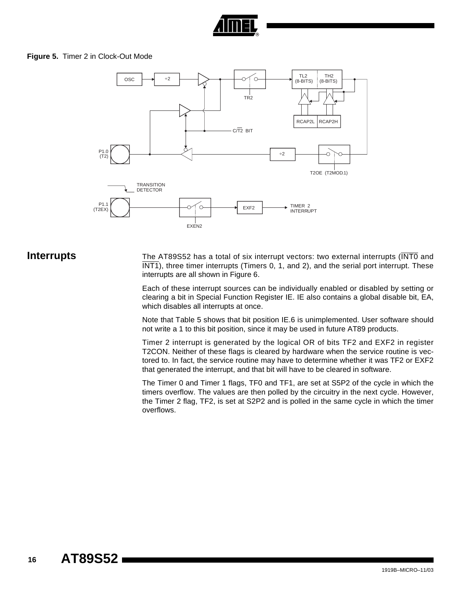

#### **Figure 5.** Timer 2 in Clock-Out Mode



**Interrupts** The AT89S52 has a total of six interrupt vectors: two external interrupts (INTO and  $\overline{\text{INT1}}$ , three timer interrupts (Timers 0, 1, and 2), and the serial port interrupt. These interrupts are all shown in Figure 6.

> Each of these interrupt sources can be individually enabled or disabled by setting or clearing a bit in Special Function Register IE. IE also contains a global disable bit, EA, which disables all interrupts at once.

> Note that Table 5 shows that bit position IE.6 is unimplemented. User software should not write a 1 to this bit position, since it may be used in future AT89 products.

> Timer 2 interrupt is generated by the logical OR of bits TF2 and EXF2 in register T2CON. Neither of these flags is cleared by hardware when the service routine is vectored to. In fact, the service routine may have to determine whether it was TF2 or EXF2 that generated the interrupt, and that bit will have to be cleared in software.

> The Timer 0 and Timer 1 flags, TF0 and TF1, are set at S5P2 of the cycle in which the timers overflow. The values are then polled by the circuitry in the next cycle. However, the Timer 2 flag, TF2, is set at S2P2 and is polled in the same cycle in which the timer overflows.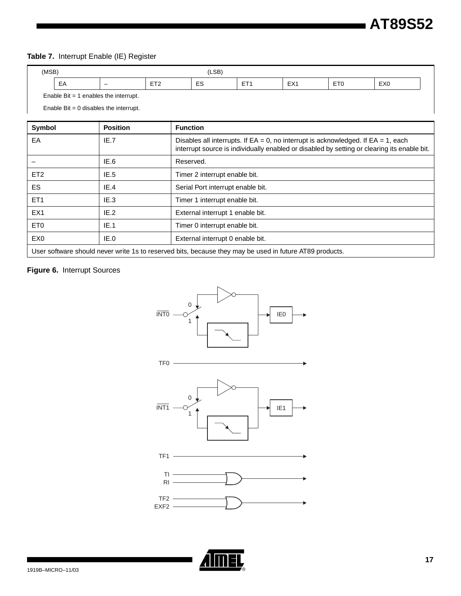#### **Table 7.** Interrupt Enable (IE) Register

| (MSB) |                                            |                          |                  | LSB)                   |            |     |                       |                 |
|-------|--------------------------------------------|--------------------------|------------------|------------------------|------------|-----|-----------------------|-----------------|
|       | EA                                         | $\overline{\phantom{0}}$ | $- - -$<br>- - - | $\sim$<br>F2<br>$\sim$ | $- -$<br>. | EX1 | ET <sub>0</sub><br>__ | EX <sub>0</sub> |
|       | Enable Bit = $1$<br>enables the interrupt. |                          |                  |                        |            |     |                       |                 |

Enable  $Bit = 0$  disables the interrupt.

| Symbol                                                                                                  | <b>Position</b> | <b>Function</b>                                                                                                                                                                        |  |  |  |
|---------------------------------------------------------------------------------------------------------|-----------------|----------------------------------------------------------------------------------------------------------------------------------------------------------------------------------------|--|--|--|
| EA                                                                                                      | IE.7            | Disables all interrupts. If $EA = 0$ , no interrupt is acknowledged. If $EA = 1$ , each<br>interrupt source is individually enabled or disabled by setting or clearing its enable bit. |  |  |  |
|                                                                                                         | IE.6            | Reserved.                                                                                                                                                                              |  |  |  |
| ET <sub>2</sub>                                                                                         | IE.5            | Timer 2 interrupt enable bit.                                                                                                                                                          |  |  |  |
| ES.                                                                                                     | IE.4            | Serial Port interrupt enable bit.                                                                                                                                                      |  |  |  |
| ET <sub>1</sub>                                                                                         | IE.3            | Timer 1 interrupt enable bit.                                                                                                                                                          |  |  |  |
| EX <sub>1</sub>                                                                                         | IE.2            | External interrupt 1 enable bit.                                                                                                                                                       |  |  |  |
| ET <sub>0</sub>                                                                                         | IE.1            | Timer 0 interrupt enable bit.                                                                                                                                                          |  |  |  |
| EX <sub>0</sub>                                                                                         | IE.0            | External interrupt 0 enable bit.                                                                                                                                                       |  |  |  |
| User software should never write 1s to reserved bits, because they may be used in future AT89 products. |                 |                                                                                                                                                                                        |  |  |  |

#### **Figure 6.** Interrupt Sources

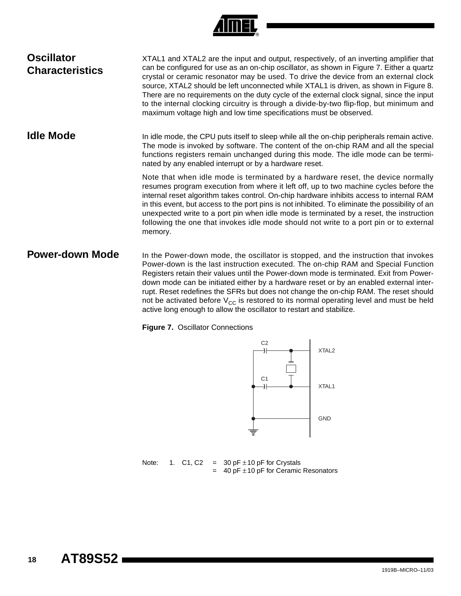|  | R) |
|--|----|

| <b>Oscillator</b><br><b>Characteristics</b> | XTAL1 and XTAL2 are the input and output, respectively, of an inverting amplifier that<br>can be configured for use as an on-chip oscillator, as shown in Figure 7. Either a quartz<br>crystal or ceramic resonator may be used. To drive the device from an external clock<br>source, XTAL2 should be left unconnected while XTAL1 is driven, as shown in Figure 8.<br>There are no requirements on the duty cycle of the external clock signal, since the input<br>to the internal clocking circuitry is through a divide-by-two flip-flop, but minimum and<br>maximum voltage high and low time specifications must be observed. |
|---------------------------------------------|-------------------------------------------------------------------------------------------------------------------------------------------------------------------------------------------------------------------------------------------------------------------------------------------------------------------------------------------------------------------------------------------------------------------------------------------------------------------------------------------------------------------------------------------------------------------------------------------------------------------------------------|
| <b>Idle Mode</b>                            | In idle mode, the CPU puts itself to sleep while all the on-chip peripherals remain active.<br>The mode is invoked by software. The content of the on-chip RAM and all the special<br>functions registers remain unchanged during this mode. The idle mode can be termi-<br>nated by any enabled interrupt or by a hardware reset.                                                                                                                                                                                                                                                                                                  |
|                                             | Note that when idle mode is terminated by a hardware reset, the device normally<br>resumes program execution from where it left off, up to two machine cycles before the<br>internal reset algorithm takes control. On-chip hardware inhibits access to internal RAM<br>in this event, but access to the port pins is not inhibited. To eliminate the possibility of an<br>unexpected write to a port pin when idle mode is terminated by a reset, the instruction<br>following the one that invokes idle mode should not write to a port pin or to external<br>memory.                                                             |
| <b>Power-down Mode</b>                      | In the Power-down mode, the oscillator is stopped, and the instruction that invokes<br>Power-down is the last instruction executed. The on-chip RAM and Special Function<br>Registers retain their values until the Power-down mode is terminated. Exit from Power-<br>down mode can be initiated either by a hardware reset or by an enabled external inter-<br>rupt. Reset redefines the SFRs but does not change the on-chip RAM. The reset should<br>not be activated before $V_{CC}$ is restored to its normal operating level and must be held<br>active long enough to allow the oscillator to restart and stabilize.        |

**Figure 7.** Oscillator Connections



Note: 1. C1, C2 = 30 pF  $\pm$ 10 pF for Crystals  $=$  40 pF  $\pm$  10 pF for Ceramic Resonators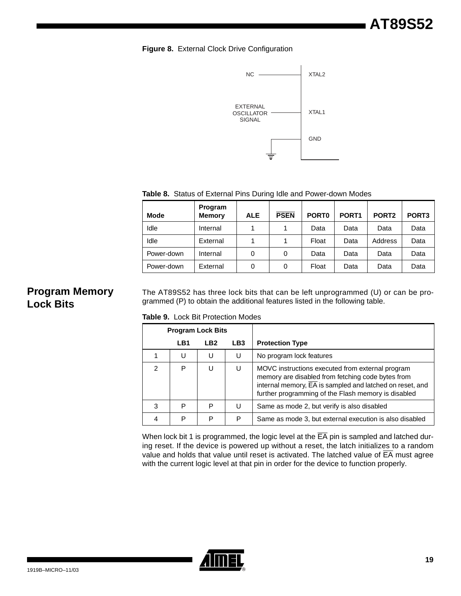**Figure 8.** External Clock Drive Configuration



**Table 8.** Status of External Pins During Idle and Power-down Modes

| <b>Mode</b> | Program<br><b>Memory</b> | <b>ALE</b> | <b>PSEN</b> | PORT <sub>0</sub> | PORT <sub>1</sub> | PORT <sub>2</sub> | PORT <sub>3</sub> |
|-------------|--------------------------|------------|-------------|-------------------|-------------------|-------------------|-------------------|
| Idle        | Internal                 |            |             | Data              | Data              | Data              | Data              |
| Idle        | External                 |            |             | Float             | Data              | Address           | Data              |
| Power-down  | Internal                 | 0          | 0           | Data              | Data              | Data              | Data              |
| Power-down  | External                 | 0          | 0           | Float             | Data              | Data              | Data              |

## **Program Memory Lock Bits**

The AT89S52 has three lock bits that can be left unprogrammed (U) or can be programmed (P) to obtain the additional features listed in the following table.

**Table 9.** Lock Bit Protection Modes

|   | <b>Program Lock Bits</b> |                 |     |                                                                                                                                                                                                                                       |
|---|--------------------------|-----------------|-----|---------------------------------------------------------------------------------------------------------------------------------------------------------------------------------------------------------------------------------------|
|   | LB1                      | LB <sub>2</sub> | LB3 | <b>Protection Type</b>                                                                                                                                                                                                                |
|   | U                        | U               | U   | No program lock features                                                                                                                                                                                                              |
| 2 | P                        | U               | U   | MOVC instructions executed from external program<br>memory are disabled from fetching code bytes from<br>internal memory, $\overline{EA}$ is sampled and latched on reset, and<br>further programming of the Flash memory is disabled |
| 3 | P                        | P               | U   | Same as mode 2, but verify is also disabled                                                                                                                                                                                           |
|   | Р                        | P               | Р   | Same as mode 3, but external execution is also disabled                                                                                                                                                                               |

When lock bit 1 is programmed, the logic level at the  $\overline{EA}$  pin is sampled and latched during reset. If the device is powered up without a reset, the latch initializes to a random value and holds that value until reset is activated. The latched value of  $\overline{FA}$  must agree with the current logic level at that pin in order for the device to function properly.

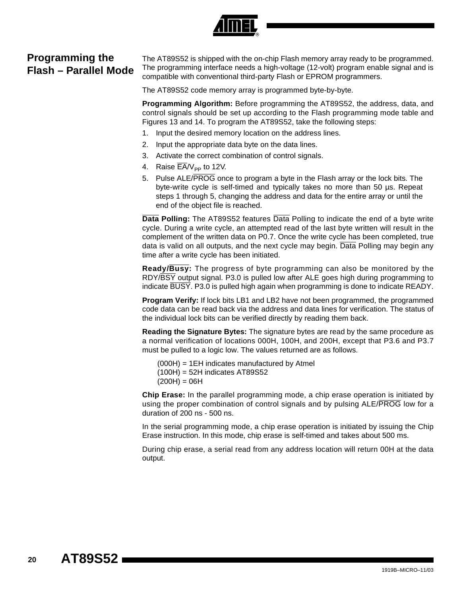### **Programming the Flash – Parallel Mode**

The AT89S52 is shipped with the on-chip Flash memory array ready to be programmed. The programming interface needs a high-voltage (12-volt) program enable signal and is compatible with conventional third-party Flash or EPROM programmers.

The AT89S52 code memory array is programmed byte-by-byte.

**Programming Algorithm:** Before programming the AT89S52, the address, data, and control signals should be set up according to the Flash programming mode table and Figures 13 and 14. To program the AT89S52, take the following steps:

- 1. Input the desired memory location on the address lines.
- 2. Input the appropriate data byte on the data lines.
- 3. Activate the correct combination of control signals.
- 4. Raise  $\overline{\mathsf{EA}}/\mathsf{V}_{\mathsf{PP}}$  to 12V.
- 5. Pulse ALE/PROG once to program a byte in the Flash array or the lock bits. The byte-write cycle is self-timed and typically takes no more than 50 µs. Repeat steps 1 through 5, changing the address and data for the entire array or until the end of the object file is reached.

**Data Polling:** The AT89S52 features Data Polling to indicate the end of a byte write cycle. During a write cycle, an attempted read of the last byte written will result in the complement of the written data on P0.7. Once the write cycle has been completed, true data is valid on all outputs, and the next cycle may begin. Data Polling may begin any time after a write cycle has been initiated.

**Ready/Busy:** The progress of byte programming can also be monitored by the RDY/BSY output signal. P3.0 is pulled low after ALE goes high during programming to indicate BUSY. P3.0 is pulled high again when programming is done to indicate READY.

**Program Verify:** If lock bits LB1 and LB2 have not been programmed, the programmed code data can be read back via the address and data lines for verification. The status of the individual lock bits can be verified directly by reading them back.

**Reading the Signature Bytes:** The signature bytes are read by the same procedure as a normal verification of locations 000H, 100H, and 200H, except that P3.6 and P3.7 must be pulled to a logic low. The values returned are as follows.

(000H) = 1EH indicates manufactured by Atmel (100H) = 52H indicates AT89S52  $(200H) = 06H$ 

**Chip Erase:** In the parallel programming mode, a chip erase operation is initiated by using the proper combination of control signals and by pulsing ALE/PROG low for a duration of 200 ns - 500 ns.

In the serial programming mode, a chip erase operation is initiated by issuing the Chip Erase instruction. In this mode, chip erase is self-timed and takes about 500 ms.

During chip erase, a serial read from any address location will return 00H at the data output.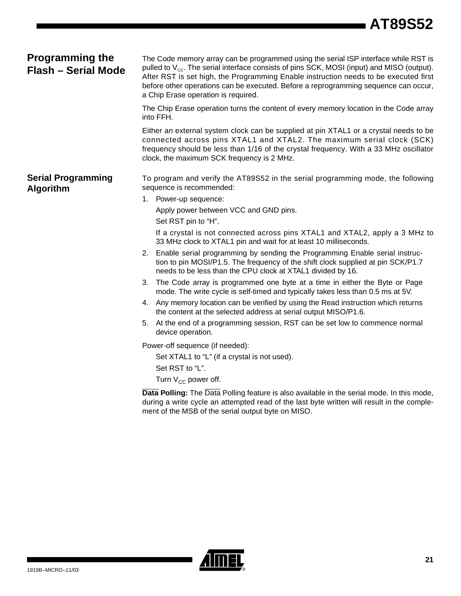# **AT89S52**

| <b>Programming the</b><br><b>Flash - Serial Mode</b> | The Code memory array can be programmed using the serial ISP interface while RST is<br>pulled to $V_{\text{cc}}$ . The serial interface consists of pins SCK, MOSI (input) and MISO (output).<br>After RST is set high, the Programming Enable instruction needs to be executed first<br>before other operations can be executed. Before a reprogramming sequence can occur,<br>a Chip Erase operation is required. |  |  |  |  |  |
|------------------------------------------------------|---------------------------------------------------------------------------------------------------------------------------------------------------------------------------------------------------------------------------------------------------------------------------------------------------------------------------------------------------------------------------------------------------------------------|--|--|--|--|--|
|                                                      | The Chip Erase operation turns the content of every memory location in the Code array<br>into FFH.                                                                                                                                                                                                                                                                                                                  |  |  |  |  |  |
|                                                      | Either an external system clock can be supplied at pin XTAL1 or a crystal needs to be<br>connected across pins XTAL1 and XTAL2. The maximum serial clock (SCK)<br>frequency should be less than 1/16 of the crystal frequency. With a 33 MHz oscillator<br>clock, the maximum SCK frequency is 2 MHz.                                                                                                               |  |  |  |  |  |
| <b>Serial Programming</b><br><b>Algorithm</b>        | To program and verify the AT89S52 in the serial programming mode, the following<br>sequence is recommended:                                                                                                                                                                                                                                                                                                         |  |  |  |  |  |
|                                                      | 1. Power-up sequence:                                                                                                                                                                                                                                                                                                                                                                                               |  |  |  |  |  |
|                                                      | Apply power between VCC and GND pins.                                                                                                                                                                                                                                                                                                                                                                               |  |  |  |  |  |
|                                                      | Set RST pin to "H".                                                                                                                                                                                                                                                                                                                                                                                                 |  |  |  |  |  |
|                                                      | If a crystal is not connected across pins XTAL1 and XTAL2, apply a 3 MHz to<br>33 MHz clock to XTAL1 pin and wait for at least 10 milliseconds.                                                                                                                                                                                                                                                                     |  |  |  |  |  |
|                                                      | 2. Enable serial programming by sending the Programming Enable serial instruc-<br>tion to pin MOSI/P1.5. The frequency of the shift clock supplied at pin SCK/P1.7<br>needs to be less than the CPU clock at XTAL1 divided by 16.                                                                                                                                                                                   |  |  |  |  |  |
|                                                      | The Code array is programmed one byte at a time in either the Byte or Page<br>3.<br>mode. The write cycle is self-timed and typically takes less than 0.5 ms at 5V.                                                                                                                                                                                                                                                 |  |  |  |  |  |
|                                                      | 4. Any memory location can be verified by using the Read instruction which returns<br>the content at the selected address at serial output MISO/P1.6.                                                                                                                                                                                                                                                               |  |  |  |  |  |
|                                                      | At the end of a programming session, RST can be set low to commence normal<br>5.<br>device operation.                                                                                                                                                                                                                                                                                                               |  |  |  |  |  |
|                                                      | Power-off sequence (if needed):                                                                                                                                                                                                                                                                                                                                                                                     |  |  |  |  |  |
|                                                      | Set XTAL1 to "L" (if a crystal is not used).                                                                                                                                                                                                                                                                                                                                                                        |  |  |  |  |  |
|                                                      | Set RST to "L".                                                                                                                                                                                                                                                                                                                                                                                                     |  |  |  |  |  |
|                                                      | Turn $V_{CC}$ power off.                                                                                                                                                                                                                                                                                                                                                                                            |  |  |  |  |  |
|                                                      | Data Polling: The Data Polling feature is also available in the serial mode. In this mode,<br>during a write cycle an attempted read of the last byte written will result in the comple-<br>ment of the MSB of the serial output byte on MISO.                                                                                                                                                                      |  |  |  |  |  |

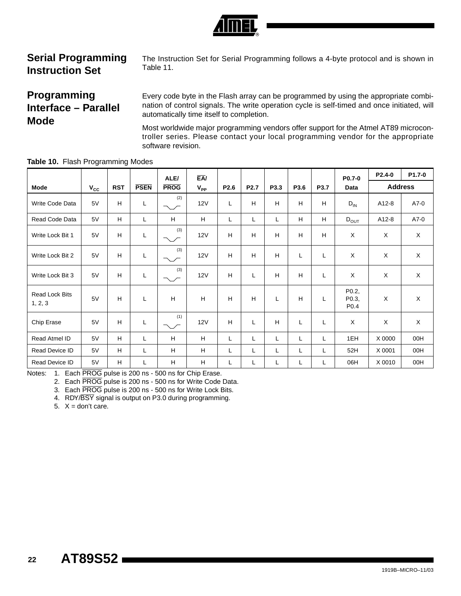

## **Serial Programming Instruction Set**

The Instruction Set for Serial Programming follows a 4-byte protocol and is shown in Table 11.

### **Programming Interface – Parallel Mode**

Every code byte in the Flash array can be programmed by using the appropriate combination of control signals. The write operation cycle is self-timed and once initiated, will automatically time itself to completion.

Most worldwide major programming vendors offer support for the Atmel AT89 microcontroller series. Please contact your local programming vendor for the appropriate software revision.

|                                  |              |            |             | ALE/          | EA/      |      |                  |      |      |      | P0.7-0                             | P2.4-0         | P1.7-0      |
|----------------------------------|--------------|------------|-------------|---------------|----------|------|------------------|------|------|------|------------------------------------|----------------|-------------|
| <b>Mode</b>                      | $V_{\rm CC}$ | <b>RST</b> | <b>PSEN</b> | <b>PROG</b>   | $V_{PP}$ | P2.6 | P <sub>2.7</sub> | P3.3 | P3.6 | P3.7 | Data                               | <b>Address</b> |             |
| Write Code Data                  | 5V           | H          | L           | (2)<br>∼∕     | 12V      | L    | H                | H    | H    | H    | $D_{IN}$                           | A12-8          | A7-0        |
| Read Code Data                   | 5V           | H.         | Г           | H             | H        | Г    | L                | L    | H.   | H    | $D_{OUT}$                          | A12-8          | $A7-0$      |
| Write Lock Bit 1                 | 5V           | H          | L           | (3)<br>$\sim$ | 12V      | H    | H                | H    | н    | H    | $\mathsf{X}$                       | X              | $\mathsf X$ |
| Write Lock Bit 2                 | 5V           | H          | L           | (3)<br>$\sim$ | 12V      | H    | H                | H    | L    | L    | X                                  | X              | X           |
| Write Lock Bit 3                 | 5V           | H          | L           | (3)<br>ヽ╭     | 12V      | H    | L                | H    | H    | L    | X                                  | X              | $\mathsf X$ |
| <b>Read Lock Bits</b><br>1, 2, 3 | 5V           | H          | Г           | H             | H        | H    | H                | L    | H    | L    | P0.2,<br>P0.3,<br>P <sub>0.4</sub> | X              | $\times$    |
| Chip Erase                       | 5V           | H          | L           | (1)           | 12V      | H    | L                | H    | L    | L    | X                                  | X              | X           |
| Read Atmel ID                    | 5V           | H          | Г           | H             | H        | Г    | L                | L    | L    | L    | 1EH                                | X 0000         | 00H         |
| Read Device ID                   | 5V           | H          | Г           | H             | н        | L    | L                | Г    | L    | L    | 52H                                | X 0001         | 00H         |
| Read Device ID                   | 5V           | H.         | L           | H             | H        | Г    | L                | L    | L    | L    | 06H                                | X 0010         | 00H         |

**Table 10.** Flash Programming Modes

Notes: 1. Each PROG pulse is 200 ns - 500 ns for Chip Erase.

2. Each PROG pulse is 200 ns - 500 ns for Write Code Data.

3. Each PROG pulse is 200 ns - 500 ns for Write Lock Bits.

4. RDY/BSY signal is output on P3.0 during programming.

5.  $X =$  don't care.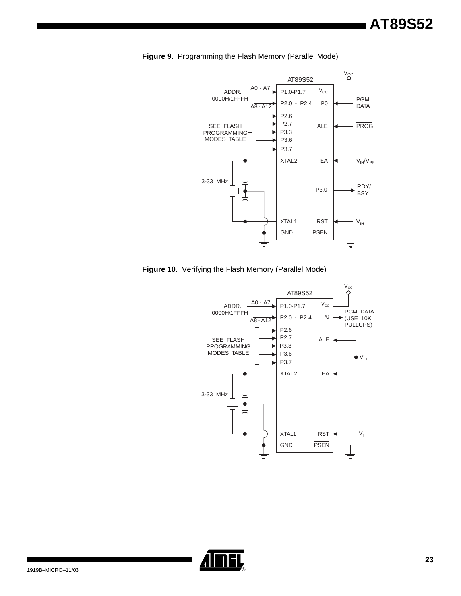

**Figure 9.** Programming the Flash Memory (Parallel Mode)

**Figure 10.** Verifying the Flash Memory (Parallel Mode)



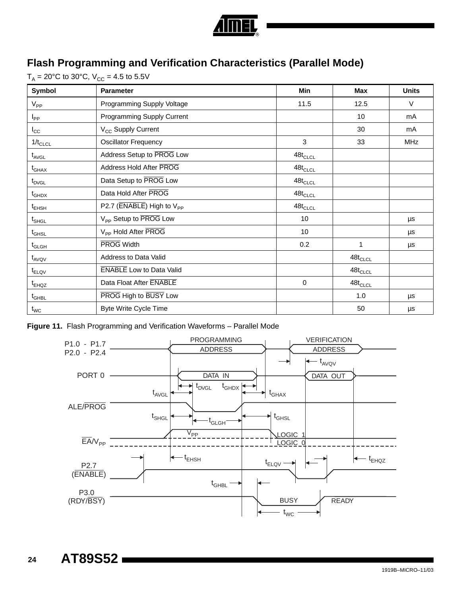

## **Flash Programming and Verification Characteristics (Parallel Mode)**

 $T_A = 20^{\circ}$ C to 30°C,  $V_{CC} = 4.5$  to 5.5V

| Symbol                         | <b>Parameter</b>                      | Min                               | Max                               | <b>Units</b> |
|--------------------------------|---------------------------------------|-----------------------------------|-----------------------------------|--------------|
| $V_{PP}$                       | Programming Supply Voltage            | 11.5                              | 12.5                              | V            |
| $I_{\mathsf{PP}}$              | Programming Supply Current            |                                   | 10 <sup>°</sup>                   | mA           |
| $I_{\rm CC}$                   | V <sub>CC</sub> Supply Current        |                                   | 30                                | mA           |
| $1/t_{CLCL}$                   | <b>Oscillator Frequency</b>           | 3                                 | 33                                | <b>MHz</b>   |
| $\mathfrak{t}_{\sf AVGL}$      | Address Setup to PROG Low             | $48 t_{\scriptstyle \text{CLCL}}$ |                                   |              |
| $\mathsf{t}_{\mathsf{GHAX}}$   | Address Hold After PROG               | $48 t_{\scriptstyle \text{CLCL}}$ |                                   |              |
| t <sub>DVGL</sub>              | Data Setup to PROG Low                | $48 t_{\scriptstyle \text{CLCL}}$ |                                   |              |
| $t_{\mathsf{GHDX}}$            | Data Hold After PROG                  | $48 t_{\scriptstyle \text{CLCL}}$ |                                   |              |
| $t_{\sf EHSH}$                 | P2.7 (ENABLE) High to V <sub>PP</sub> | $48 t_{\scriptstyle \text{CLCL}}$ |                                   |              |
| $\mathsf{t}_{\mathsf{SHGL}}$   | V <sub>PP</sub> Setup to PROG Low     | 10                                |                                   | $\mu s$      |
| $\mathfrak{t}_{\mathsf{GHSL}}$ | V <sub>PP</sub> Hold After PROG       | 10 <sup>°</sup>                   |                                   | μs           |
| $t_{\scriptstyle\rm G L GH}$   | <b>PROG</b> Width                     | 0.2                               | 1                                 | μs           |
| $t_{AVQV}$                     | Address to Data Valid                 |                                   | $48t_{CLCL}$                      |              |
| $t_{ELQV}$                     | <b>ENABLE</b> Low to Data Valid       |                                   | $48t_{CLCL}$                      |              |
| $t_{EHQZ}$                     | Data Float After ENABLE               | $\mathbf 0$                       | $48 t_{\scriptstyle \text{CLCL}}$ |              |
| $t_{\scriptstyle \text{GHBL}}$ | PROG High to BUSY Low                 |                                   | 1.0                               | μs           |
| $t_{WC}$                       | <b>Byte Write Cycle Time</b>          |                                   | 50                                | $\mu s$      |

**Figure 11.** Flash Programming and Verification Waveforms – Parallel Mode

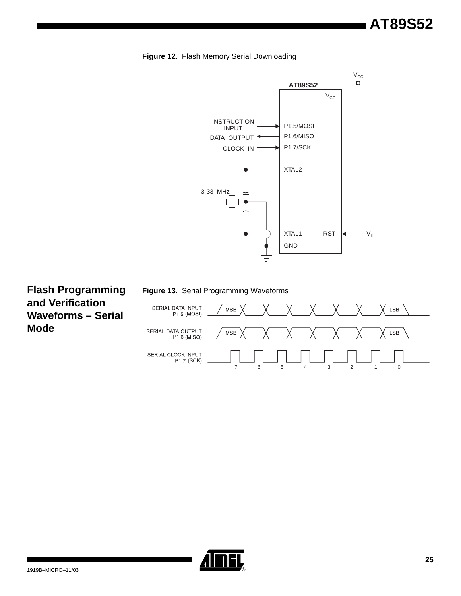**Figure 12.** Flash Memory Serial Downloading



**Flash Programming and Verification Waveforms – Serial Mode**





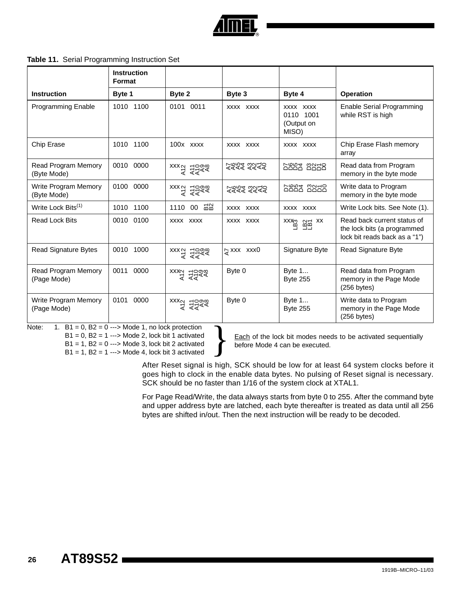

#### **Table 11.** Serial Programming Instruction Set

|                                            | <b>Instruction</b><br>Format |                                                                                                  |                    |                                               |                                                                                             |
|--------------------------------------------|------------------------------|--------------------------------------------------------------------------------------------------|--------------------|-----------------------------------------------|---------------------------------------------------------------------------------------------|
| <b>Instruction</b>                         | Byte 1                       | Byte 2                                                                                           | Byte 3             | Byte 4                                        | <b>Operation</b>                                                                            |
| <b>Programming Enable</b>                  | 1010 1100                    | 0101 0011                                                                                        | XXXX XXXX          | XXXX XXXX<br>0110 1001<br>(Output on<br>MISO) | Enable Serial Programming<br>while RST is high                                              |
| Chip Erase                                 | 1010 1100                    | $100x$ $xxxx$                                                                                    | XXXX XXXX          | XXXX XXXX                                     | Chip Erase Flash memory<br>array                                                            |
| Read Program Memory<br>(Byte Mode)         | 0010 0000                    | $\begin{matrix} 2 & 2 & 3 \\ 2 & 3 & 3 \\ 3 & 4 & 5 \end{matrix}$                                | र्यूयर्य दर्श्य    | <b>boot</b> 2252                              | Read data from Program<br>memory in the byte mode                                           |
| <b>Write Program Memory</b><br>(Byte Mode) | 0100 0000                    | $\begin{matrix} 2 & 5 \\ 2 & 5 \end{matrix}$ xxx<br>$\begin{matrix} 5 & 5 \\ 5 & 5 \end{matrix}$ | 2222 2222          | bont conso                                    | Write data to Program<br>memory in the byte mode                                            |
| Write Lock Bits <sup>(1)</sup>             | 1010 1100                    | 1110 00 젊음                                                                                       | XXXX XXXX          | XXXX XXXX                                     | Write Lock bits. See Note (1).                                                              |
| <b>Read Lock Bits</b>                      | 0010 0100                    | XXXX XXXX                                                                                        | XXXX XXXX          | $\sum_{x \in \mathbb{Z}}^x$                   | Read back current status of<br>the lock bits (a programmed<br>lock bit reads back as a "1") |
| <b>Read Signature Bytes</b>                | 0010 1000                    | $\begin{matrix} 2 & 5 \\ 2 & 5 \end{matrix}$                                                     | $\approx$ xxx xxx0 | Signature Byte                                | Read Signature Byte                                                                         |
| <b>Read Program Memory</b><br>(Page Mode)  | 0000<br>0011                 | xxxa =0000                                                                                       | Byte 0             | Byte 1<br><b>Byte 255</b>                     | Read data from Program<br>memory in the Page Mode<br>$(256$ bytes)                          |
| Write Program Memory<br>(Page Mode)        | 0101<br>0000                 | $\begin{matrix} 2 & 0 & 0 \\ 0 & 0 & 0 \\ 0 & 0 & 0 \end{matrix}$                                | Byte 0             | Byte 1<br><b>Byte 255</b>                     | Write data to Program<br>memory in the Page Mode<br>$(256$ bytes)                           |

Note:  $1. B1 = 0, B2 = 0 \rightarrow Mode1$ , no lock protection

 $B1 = 0$ ,  $B2 = 1$  ---> Mode 2, lock bit 1 activated  $B1 = 1$ ,  $B2 = 0$  ---> Mode 3, lock bit 2 activated  $B1 = 1$ ,  $B2 = 1$  ---> Mode 4, lock bit 3 activated

**Each** of the lock bit modes needs to be activated sequentially before Mode 4 can be executed.

After Reset signal is high, SCK should be low for at least 64 system clocks before it goes high to clock in the enable data bytes. No pulsing of Reset signal is necessary. SCK should be no faster than 1/16 of the system clock at XTAL1.

For Page Read/Write, the data always starts from byte 0 to 255. After the command byte and upper address byte are latched, each byte thereafter is treated as data until all 256 bytes are shifted in/out. Then the next instruction will be ready to be decoded.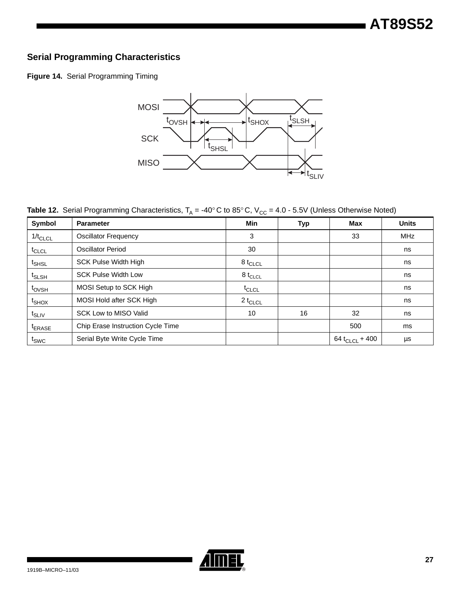#### **Serial Programming Characteristics**

**Figure 14.** Serial Programming Timing



**Table 12.** Serial Programming Characteristics,  $T_A = -40^\circ$ C to 85°C,  $V_{CC} = 4.0 - 5.5V$  (Unless Otherwise Noted)

| Symbol                        | <b>Parameter</b>                  | <b>Min</b>          | <b>Typ</b> | Max                 | <b>Units</b> |
|-------------------------------|-----------------------------------|---------------------|------------|---------------------|--------------|
| $1/t_{CLCL}$                  | <b>Oscillator Frequency</b>       | 3                   |            | 33                  | <b>MHz</b>   |
| t <sub>CLCL</sub>             | Oscillator Period                 | 30                  |            |                     | ns           |
| t <sub>SHSL</sub>             | <b>SCK Pulse Width High</b>       | 8 t $_{\sf CLCL}$   |            |                     | ns           |
| t <sub>SLSH</sub>             | <b>SCK Pulse Width Low</b>        | 8 t <sub>CLCL</sub> |            |                     | ns           |
| t <sub>ovsh</sub>             | MOSI Setup to SCK High            | $t_{CLCL}$          |            |                     | ns           |
| t <sub>SHOX</sub>             | MOSI Hold after SCK High          | 2 t <sub>CLCL</sub> |            |                     | ns           |
| $t_{\scriptstyle\text{SLIV}}$ | <b>SCK Low to MISO Valid</b>      | 10                  | 16         | 32                  | ns           |
| <sup>t</sup> ERASE            | Chip Erase Instruction Cycle Time |                     |            | 500                 | ms           |
| t <sub>SWC</sub>              | Serial Byte Write Cycle Time      |                     |            | 64 $t_{CLCL}$ + 400 | μs           |

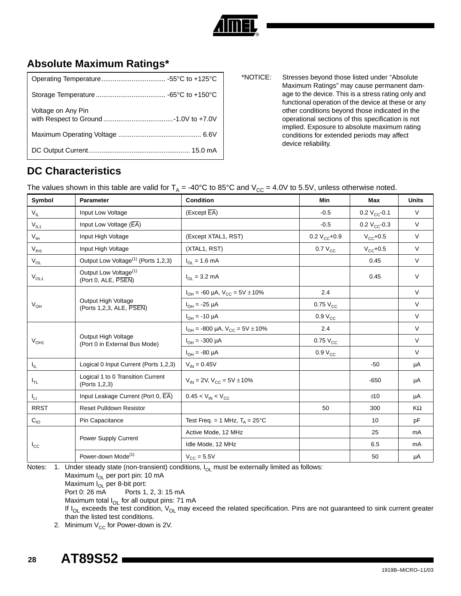

## **Absolute Maximum Ratings\***

| Voltage on Any Pin |  |
|--------------------|--|
|                    |  |
|                    |  |

\*NOTICE: Stresses beyond those listed under "Absolute Maximum Ratings" may cause permanent damage to the device. This is a stress rating only and functional operation of the device at these or any other conditions beyond those indicated in the operational sections of this specification is not implied. Exposure to absolute maximum rating conditions for extended periods may affect device reliability.

## **DC Characteristics**

The values shown in this table are valid for  $T_A = -40^{\circ}C$  to 85°C and  $V_{CC} = 4.0V$  to 5.5V, unless otherwise noted.

| Symbol            | <b>Parameter</b>                                         | <b>Condition</b>                         | Min                 | <b>Max</b>        | <b>Units</b> |
|-------------------|----------------------------------------------------------|------------------------------------------|---------------------|-------------------|--------------|
| $V_{IL}$          | Input Low Voltage                                        | (Except EA)                              | $-0.5$              | 0.2 $V_{CC}$ -0.1 | $\vee$       |
| $V_{IL1}$         | Input Low Voltage (EA)                                   |                                          | $-0.5$              | 0.2 $V_{CC}$ -0.3 | $\vee$       |
| $V_{IH}$          | Input High Voltage                                       | (Except XTAL1, RST)                      | 0.2 $V_{CC}$ +0.9   | $V_{CC}$ +0.5     | $\vee$       |
| $V_{I H1}$        | Input High Voltage                                       | (XTAL1, RST)                             | $0.7 V_{CC}$        | $V_{CC}$ +0.5     | $\vee$       |
| $V_{OL}$          | Output Low Voltage <sup>(1)</sup> (Ports 1,2,3)          | $I_{OL} = 1.6 \text{ mA}$                |                     | 0.45              | $\vee$       |
| $V_{OL1}$         | Output Low Voltage <sup>(1)</sup><br>(Port 0, ALE, PSEN) | $I_{\Omega I} = 3.2 \text{ mA}$          |                     | 0.45              | $\vee$       |
|                   |                                                          | $I_{OH}$ = -60 µA, $V_{CC}$ = 5V ± 10%   | 2.4                 |                   | $\vee$       |
| $V_{OH}$          | Output High Voltage<br>(Ports 1,2,3, ALE, PSEN)          | $I_{OH} = -25 \mu A$                     | $0.75V_{\rm CC}$    |                   | $\vee$       |
|                   |                                                          | $I_{OH} = -10 \mu A$                     | $0.9 V_{CC}$        |                   | $\vee$       |
|                   |                                                          | $I_{OH}$ = -800 µA, $V_{CC}$ = 5V ± 10%  | 2.4                 |                   | $\vee$       |
| $V_{OH1}$         | Output High Voltage<br>(Port 0 in External Bus Mode)     | $I_{OH}$ = -300 µA                       | $0.75V_{\text{CC}}$ |                   | $\vee$       |
|                   |                                                          | $I_{OH} = -80 \mu A$                     | $0.9 V_{CC}$        |                   | V            |
| $I_{\parallel L}$ | Logical 0 Input Current (Ports 1,2,3)                    | $V_{IN} = 0.45V$                         |                     | $-50$             | μA           |
| $I_{TL}$          | Logical 1 to 0 Transition Current<br>(Ports 1,2,3)       | $V_{IN}$ = 2V, $V_{CC}$ = 5V $\pm$ 10%   |                     | $-650$            | μA           |
| $I_{LI}$          | Input Leakage Current (Port 0, EA)                       | $0.45 < V_{IN} < V_{CC}$                 |                     | ±10               | μA           |
| <b>RRST</b>       | <b>Reset Pulldown Resistor</b>                           |                                          | 50                  | 300               | KΩ           |
| $C_{10}$          | Pin Capacitance                                          | Test Freq. = 1 MHz, $T_A = 25^{\circ}$ C |                     | 10 <sup>1</sup>   | pF           |
|                   |                                                          | Active Mode, 12 MHz                      |                     | 25                | mA           |
| $I_{\rm CC}$      | Power Supply Current                                     | Idle Mode, 12 MHz                        |                     | 6.5               | mA           |
|                   | Power-down Mode <sup>(1)</sup>                           | $V_{\text{CC}} = 5.5V$                   |                     | 50                | μA           |

Notes: 1. Under steady state (non-transient) conditions,  $I_{OL}$  must be externally limited as follows:

Maximum I<sub>OL</sub> per port pin: 10 mA

Maximum I<sub>OL</sub> per 8-bit port:

Port 0: 26 mA Ports 1, 2, 3: 15 mA

Maximum total  $I_{OL}$  for all output pins: 71 mA

If  $I_{OL}$  exceeds the test condition,  $V_{OL}$  may exceed the related specification. Pins are not guaranteed to sink current greater than the listed test conditions.

2. Minimum  $V_{CC}$  for Power-down is 2V.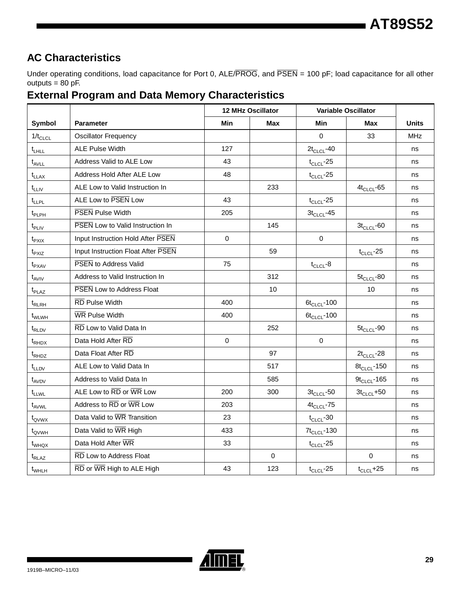## **AC Characteristics**

Under operating conditions, load capacitance for Port 0, ALE/PROG, and PSEN = 100 pF; load capacitance for all other outputs  $= 80$  pF.

#### **External Program and Data Memory Characteristics**

|                   |                                         | <b>12 MHz Oscillator</b> |                 | <b>Variable Oscillator</b> |                  |            |
|-------------------|-----------------------------------------|--------------------------|-----------------|----------------------------|------------------|------------|
| Symbol            | <b>Parameter</b><br>Min<br>Max<br>Min   |                          | Max             | <b>Units</b>               |                  |            |
| $1/t_{CLCL}$      | <b>Oscillator Frequency</b>             |                          |                 | $\Omega$                   | 33               | <b>MHz</b> |
| $t_{LHLL}$        | <b>ALE Pulse Width</b>                  | 127                      |                 | $2t_{CLCL}$ -40            |                  | ns         |
| $t_{AVLL}$        | Address Valid to ALE Low                | 43                       |                 | $t_{CLCL}$ -25             |                  | ns         |
| $t_{LLAX}$        | Address Hold After ALE Low              | 48                       |                 | $t_{CLCL}$ -25             |                  | ns         |
| $t_{LLIV}$        | ALE Low to Valid Instruction In         |                          | 233             |                            | $4t_{CLCL}$ -65  | ns         |
| $t_{LLPL}$        | ALE Low to PSEN Low                     | 43                       |                 | $t_{CLCL}$ -25             |                  | ns         |
| $t_{\sf PLPH}$    | <b>PSEN</b> Pulse Width                 | 205                      |                 | $3t_{CLCL}$ -45            |                  | ns         |
| $t_{\sf PLIV}$    | <b>PSEN</b> Low to Valid Instruction In |                          | 145             |                            | $3t_{CLCL}$ -60  | ns         |
| $t_{PXIX}$        | Input Instruction Hold After PSEN       | 0                        |                 | 0                          |                  | ns         |
| $t_{PXIZ}$        | Input Instruction Float After PSEN      |                          | 59              |                            | $t_{CLCL}$ -25   | ns         |
| $t_{\text{PXAV}}$ | <b>PSEN to Address Valid</b>            | 75                       |                 | $t_{CLCL}$ -8              |                  | ns         |
| $t_{AVIV}$        | 312<br>Address to Valid Instruction In  |                          | $5t_{CLCL}$ -80 | ns                         |                  |            |
| $t_{\text{PLAZ}}$ | PSEN Low to Address Float               |                          | 10              |                            | 10               | ns         |
| $t_{RLRH}$        | <b>RD Pulse Width</b>                   | 400                      |                 | $6t_{CLCL}$ -100           |                  | ns         |
| t <sub>WLWH</sub> | <b>WR Pulse Width</b>                   | 400                      |                 | $6t_{CLCL}$ -100           |                  | ns         |
| $t_{\text{RLDV}}$ | RD Low to Valid Data In                 |                          | 252             |                            | $5t_{CLCL}$ -90  | ns         |
| $t_{RHDX}$        | Data Hold After RD                      | $\Omega$                 |                 | $\Omega$                   |                  | ns         |
| $t_{RHDZ}$        | Data Float After RD                     |                          | 97              |                            | $2t_{CLCL}$ -28  | ns         |
| $t_{LLDV}$        | ALE Low to Valid Data In                |                          | 517             |                            | $8t_{CLCL}$ -150 | ns         |
| $t_{AVDV}$        | Address to Valid Data In                |                          | 585             |                            | $9t_{CLCL}$ -165 | ns         |
| t <sub>LLWL</sub> | ALE Low to RD or WR Low                 | 200                      | 300             | $3t_{CLCL}$ -50            | $3t_{CLCL} + 50$ | ns         |
| t <sub>AVWL</sub> | Address to RD or WR Low                 | 203                      |                 | $4t_{CLCL}$ -75            |                  | ns         |
| $t_{\text{QVWX}}$ | Data Valid to WR Transition             | 23                       |                 | $t_{CLCL}$ -30             |                  | ns         |
| $t_{\text{QVWH}}$ | Data Valid to WR High                   | 433                      |                 | $7t_{CLCL}$ -130           |                  | ns         |
| $t_{WHQX}$        | Data Hold After WR                      | 33                       |                 | $t_{CLCL}$ -25             |                  | ns         |
| $t_{RLAZ}$        | RD Low to Address Float                 |                          | $\mathbf 0$     |                            | $\mathsf 0$      | ns         |
| $t_{WHLH}$        | RD or WR High to ALE High               | 43                       | 123             | $t_{CLCL}$ -25             | $t_{CLCL}$ +25   | ns         |

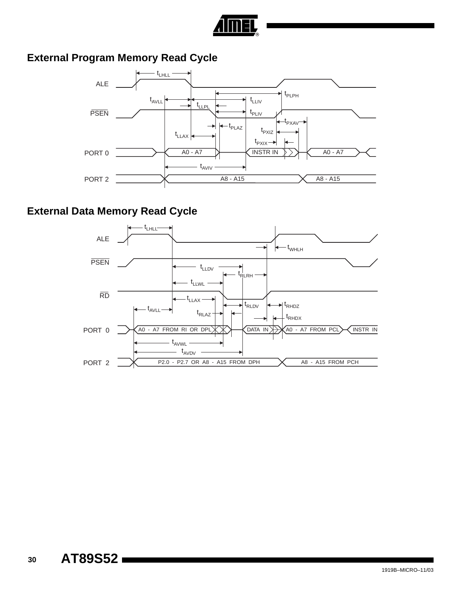

## **External Program Memory Read Cycle**



## **External Data Memory Read Cycle**

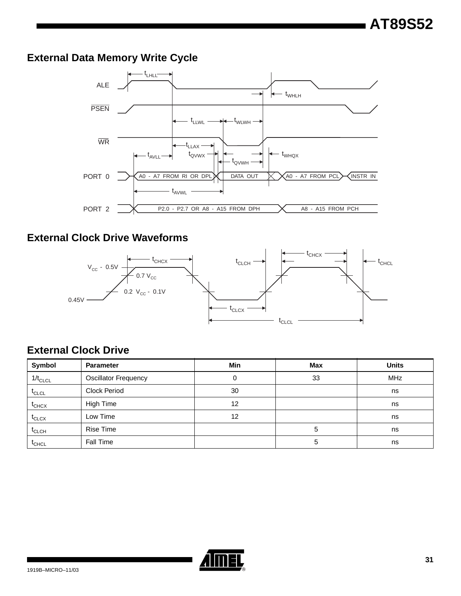## **External Data Memory Write Cycle**



## **External Clock Drive Waveforms**



## **External Clock Drive**

| Symbol       | <b>Parameter</b>            | Min | <b>Max</b> | <b>Units</b> |  |
|--------------|-----------------------------|-----|------------|--------------|--|
| $1/t_{CLCL}$ | <b>Oscillator Frequency</b> | 0   | 33         | <b>MHz</b>   |  |
| $t_{CLCL}$   | <b>Clock Period</b>         | 30  |            | ns           |  |
| $t_{CHCX}$   | <b>High Time</b>            | 12  |            | ns           |  |
| $t_{CLCX}$   | Low Time                    | 12  |            | ns           |  |
| $t_{CLCH}$   | <b>Rise Time</b>            |     | 5          | ns           |  |
| $t_{CHCL}$   | Fall Time                   |     | 5          | ns           |  |

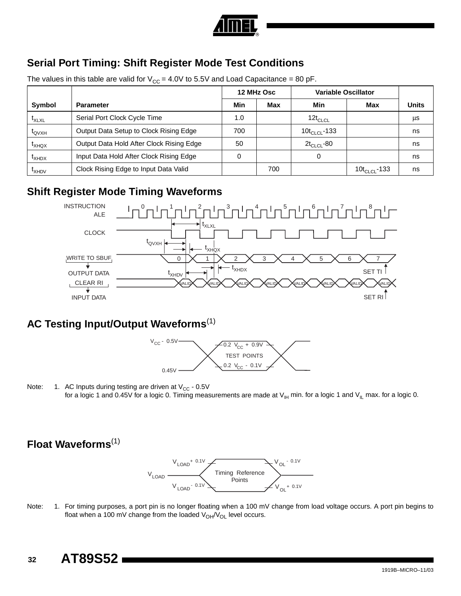

## **Serial Port Timing: Shift Register Mode Test Conditions**

The values in this table are valid for  $V_{CC} = 4.0V$  to 5.5V and Load Capacitance = 80 pF.

|                      |                                          | 12 MHz Osc |     | <b>Variable Oscillator</b> |                          |              |
|----------------------|------------------------------------------|------------|-----|----------------------------|--------------------------|--------------|
| Symbol               | <b>Parameter</b>                         | Min        | Max | Min                        | Max                      | <b>Units</b> |
| $t_{XLXL}$           | Serial Port Clock Cycle Time             | 1.0        |     | $12t_{CLCL}$               |                          | μs           |
| $\tau_{\text{QVXH}}$ | Output Data Setup to Clock Rising Edge   | 700        |     | 10 $t_{CLCL}$ -133         |                          | ns           |
| $I_{XHQX}$           | Output Data Hold After Clock Rising Edge | 50         |     | $2t_{CLCL}$ -80            |                          | ns           |
| $I_{XHDX}$           | Input Data Hold After Clock Rising Edge  | υ          |     | 0                          |                          | ns           |
| <b>LXHDV</b>         | Clock Rising Edge to Input Data Valid    |            | 700 |                            | 10t <sub>CLCL</sub> -133 | ns           |

### **Shift Register Mode Timing Waveforms**



### **AC Testing Input/Output Waveforms**(1)



Note: 1. AC Inputs during testing are driven at  $V_{CC}$  - 0.5V for a logic 1 and 0.45V for a logic 0. Timing measurements are made at  $V_{H}$  min. for a logic 1 and  $V_{IL}$  max. for a logic 0.

## **Float Waveforms**(1)



Note: 1. For timing purposes, a port pin is no longer floating when a 100 mV change from load voltage occurs. A port pin begins to float when a 100 mV change from the loaded  $V_{OH}/V_{OL}$  level occurs.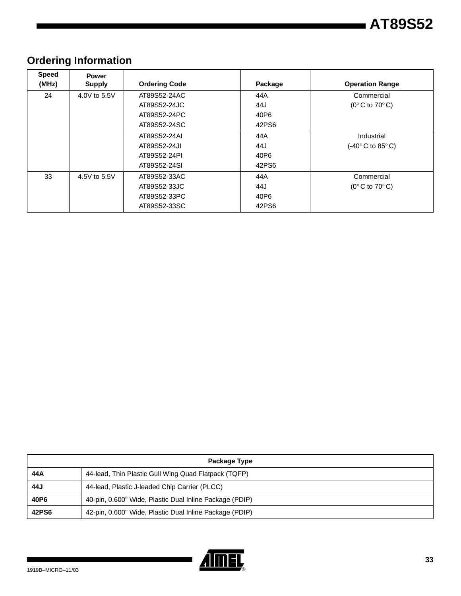| <b>Speed</b><br>(MHz) | <b>Power</b><br><b>Supply</b> | <b>Ordering Code</b> | Package | <b>Operation Range</b>                              |
|-----------------------|-------------------------------|----------------------|---------|-----------------------------------------------------|
| 24                    | 4.0V to 5.5V                  | AT89S52-24AC         | 44A     | Commercial                                          |
|                       |                               | AT89S52-24JC         | 44J     | $(0^{\circ}$ C to 70 $^{\circ}$ C)                  |
|                       |                               | AT89S52-24PC         | 40P6    |                                                     |
|                       |                               | AT89S52-24SC         | 42PS6   |                                                     |
|                       |                               | AT89S52-24AI         | 44A     | Industrial                                          |
|                       |                               | AT89S52-24JI         | 44J     | $(-40^{\circ} \text{C}$ to 85 $^{\circ} \text{C}$ ) |
|                       |                               | AT89S52-24PI         | 40P6    |                                                     |
|                       |                               | AT89S52-24SI         | 42PS6   |                                                     |
| 33                    | 4.5V to 5.5V                  | AT89S52-33AC         | 44A     | Commercial                                          |
|                       |                               | AT89S52-33JC         | 44J     | $(0^{\circ}$ C to 70 $^{\circ}$ C)                  |
|                       |                               | AT89S52-33PC         | 40P6    |                                                     |
|                       |                               | AT89S52-33SC         | 42PS6   |                                                     |

## **Ordering Information**

| Package Type |                                                         |  |
|--------------|---------------------------------------------------------|--|
| 44 A         | 44-lead, Thin Plastic Gull Wing Quad Flatpack (TQFP)    |  |
| 44J          | 44-lead, Plastic J-leaded Chip Carrier (PLCC)           |  |
| 40P6         | 40-pin, 0.600" Wide, Plastic Dual Inline Package (PDIP) |  |
| 42PS6        | 42-pin, 0.600" Wide, Plastic Dual Inline Package (PDIP) |  |

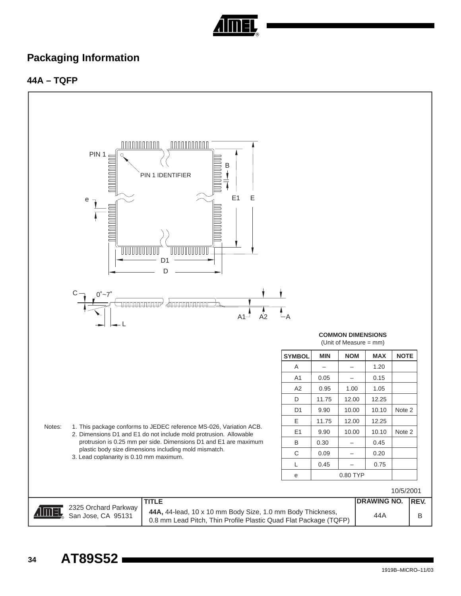

## **Packaging Information**

#### **44A – TQFP**



1919B–MICRO–11/03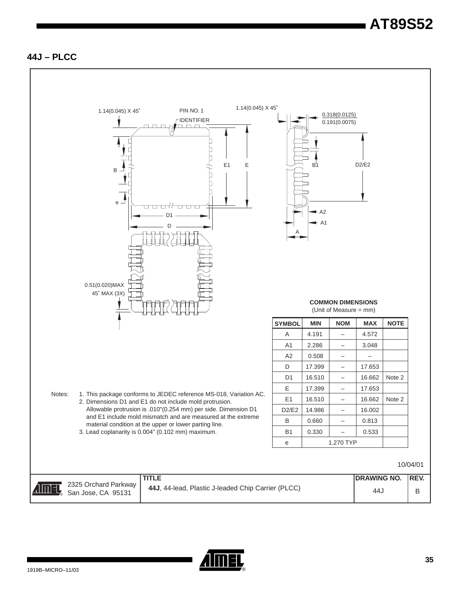#### **44J – PLCC**



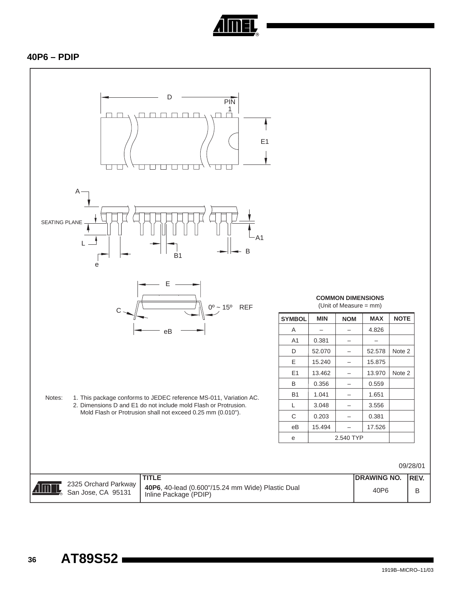

#### **40P6 – PDIP**

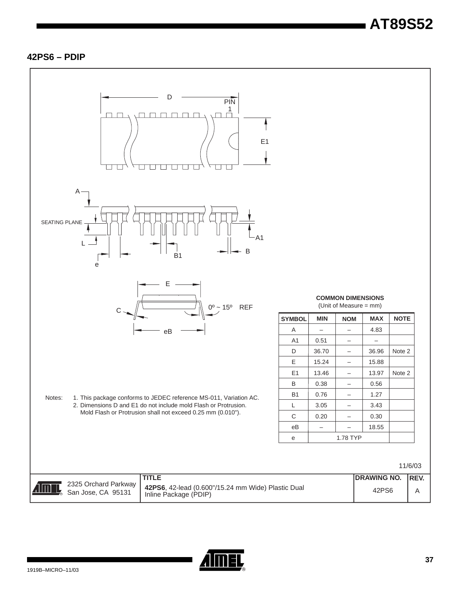#### **42PS6 – PDIP**